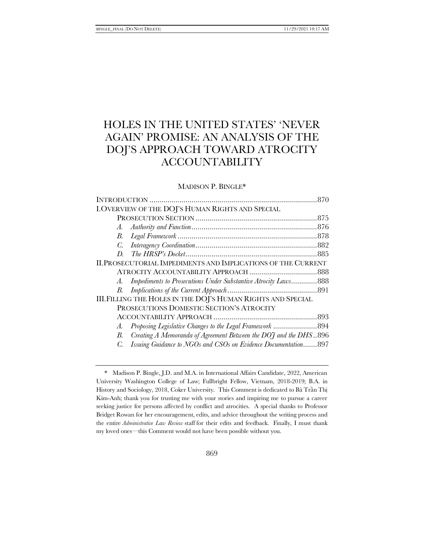# HOLES IN THE UNITED STATES' 'NEVER AGAIN' PROMISE: AN ANALYSIS OF THE DOJ'S APPROACH TOWARD ATROCITY ACCOUNTABILITY

# MADISON P. BINGLE\*

|                                                               | I. OVERVIEW OF THE DOJ'S HUMAN RIGHTS AND SPECIAL                |  |
|---------------------------------------------------------------|------------------------------------------------------------------|--|
|                                                               |                                                                  |  |
| A.                                                            |                                                                  |  |
| В.                                                            |                                                                  |  |
| $C_{\cdot}$                                                   |                                                                  |  |
| D.                                                            |                                                                  |  |
| II. PROSECUTORIAL IMPEDIMENTS AND IMPLICATIONS OF THE CURRENT |                                                                  |  |
|                                                               |                                                                  |  |
| A.                                                            | Impediments to Prosecutions Under Substantive Atrocity Laws888   |  |
| В.                                                            |                                                                  |  |
| III. FILLING THE HOLES IN THE DOJ'S HUMAN RIGHTS AND SPECIAL  |                                                                  |  |
|                                                               | PROSECUTIONS DOMESTIC SECTION'S ATROCITY                         |  |
|                                                               |                                                                  |  |
| A.                                                            |                                                                  |  |
| B.                                                            | Creating A Memoranda of Agreement Between the DOJ and the DHS896 |  |
| C.                                                            | Issuing Guidance to NGOs and CSOs on Evidence Documentation897   |  |

<sup>\*</sup> Madison P. Bingle, J.D. and M.A. in International Affairs Candidate, 2022, American University Washington College of Law; Fullbright Fellow, Vietnam, 2018-2019; B.A. in History and Sociology, 2018, Coker University. This Comment is dedicated to Bà Trần Thị Kim-Anh; thank you for trusting me with your stories and inspiring me to pursue a career seeking justice for persons affected by conflict and atrocities. A special thanks to Professor Bridget Rowan for her encouragement, edits, and advice throughout the writing process and the entire *Administrative Law Review* staff for their edits and feedback. Finally, I must thank my loved ones—this Comment would not have been possible without you.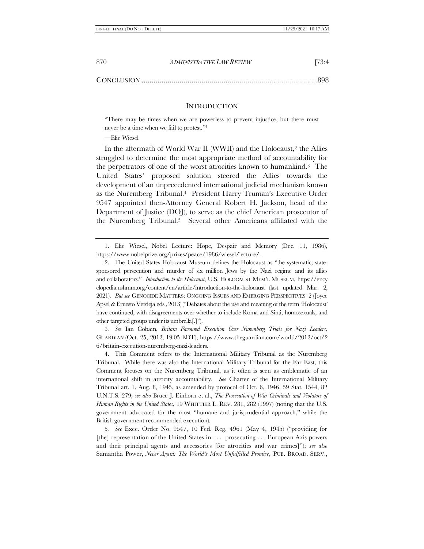CONCLUSION ........................................................................................898

#### **INTRODUCTION**

"There may be times when we are powerless to prevent injustice, but there must never be a time when we fail to protest." 1

—Elie Wiesel

In the aftermath of World War II (WWII) and the Holocaust,<sup>2</sup> the Allies struggled to determine the most appropriate method of accountability for the perpetrators of one of the worst atrocities known to humankind.3 The United States' proposed solution steered the Allies towards the development of an unprecedented international judicial mechanism known as the Nuremberg Tribunal.4 President Harry Truman's Executive Order 9547 appointed then-Attorney General Robert H. Jackson, head of the Department of Justice (DOJ), to serve as the chief American prosecutor of the Nuremberg Tribunal.5 Several other Americans affiliated with the

3*. See* Ian Cobain, *Britain Favoured Execution Over Nuremberg Trials for Nazi Leaders*, GUARDIAN (Oct. 25, 2012, 19:05 EDT), https://www.theguardian.com/world/2012/oct/2 6/britain-execution-nuremberg-nazi-leaders.

4. This Comment refers to the International Military Tribunal as the Nuremberg Tribunal. While there was also the International Military Tribunal for the Far East, this Comment focuses on the Nuremberg Tribunal, as it often is seen as emblematic of an international shift in atrocity accountability. *See* Charter of the International Military Tribunal art. 1, Aug. 8, 1945, as amended by protocol of Oct. 6, 1946, 59 Stat. 1544, 82 U.N.T.S. 279; *see also* Bruce J. Einhorn et al., *The Prosecution of War Criminals and Violators of Human Rights in the United States*, 19 WHITTIER L. REV. 281, 282 (1997) (noting that the U.S. government advocated for the most "humane and jurisprudential approach," while the British government recommended execution).

5*. See* Exec. Order No. 9547, 10 Fed. Reg. 4961 (May 4, 1945) ("providing for [the] representation of the United States in . . . prosecuting . . . European Axis powers and their principal agents and accessories [for atrocities and war crimes]"); *see also*  Samantha Power, *Never Again: The World's Most Unfulfilled Promise*, PUB. BROAD. SERV.,

<span id="page-1-0"></span><sup>1.</sup> Elie Wiesel, Nobel Lecture: Hope, Despair and Memory (Dec. 11, 1986), https://www.nobelprize.org/prizes/peace/1986/wiesel/lecture/.

<sup>2.</sup> The United States Holocaust Museum defines the Holocaust as "the systematic, statesponsored persecution and murder of six million Jews by the Nazi regime and its allies and collaborators." *Introduction to the Holocaust*, U.S. HOLOCAUST MEM'L MUSEUM, https://ency clopedia.ushmm.org/content/en/article/introduction-to-the-holocaust (last updated Mar. 2, 2021). *But see* GENOCIDE MATTERS: ONGOING ISSUES AND EMERGING PERSPECTIVES 2 (Joyce Apsel & Ernesto Verdeja eds., 2013) ("Debates about the use and meaning of the term 'Holocaust' have continued, with disagreements over whether to include Roma and Sinti, homosexuals, and other targeted groups under its umbrella[.]").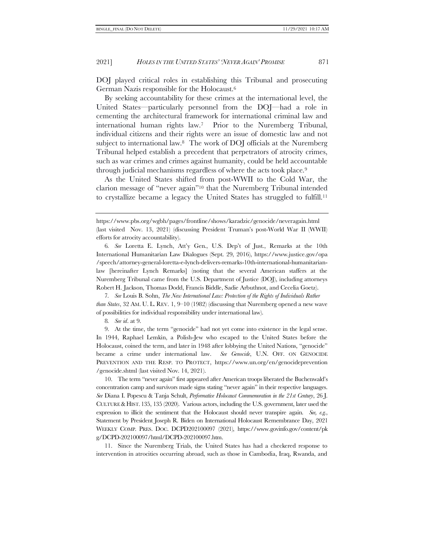<span id="page-2-0"></span>DOJ played critical roles in establishing this Tribunal and prosecuting German Nazis responsible for the Holocaust.<sup>6</sup>

By seeking accountability for these crimes at the international level, the United States—particularly personnel from the DOJ—had a role in cementing the architectural framework for international criminal law and international human rights law.7 Prior to the Nuremberg Tribunal, individual citizens and their rights were an issue of domestic law and not subject to international law.8 The work of DOJ officials at the Nuremberg Tribunal helped establish a precedent that perpetrators of atrocity crimes, such as war crimes and crimes against humanity, could be held accountable through judicial mechanisms regardless of where the acts took place.<sup>9</sup>

<span id="page-2-2"></span><span id="page-2-1"></span>As the United States shifted from post-WWII to the Cold War, the clarion message of "never again"<sup>10</sup> that the Nuremberg Tribunal intended to crystallize became a legacy the United States has struggled to fulfill.<sup>11</sup>

6*. See* Loretta E. Lynch, Att'y Gen., U.S. Dep't of Just., Remarks at the 10th International Humanitarian Law Dialogues (Sept. 29, 2016), https://www.justice.gov/opa /speech/attorney-general-loretta-e-lynch-delivers-remarks-10th-international-humanitarianlaw [hereinafter Lynch Remarks] (noting that the several American staffers at the Nuremberg Tribunal came from the U.S. Department of Justice (DOJ), including attorneys Robert H. Jackson, Thomas Dodd, Francis Biddle, Sadie Arbuthnot, and Cecelia Goetz).

7*. See* Louis B. Sohn, *The New International Law: Protection of the Rights of Individuals Rather than States*, 32 AM. U. L. REV. 1, 9–10 (1982) (discussing that Nuremberg opened a new wave of possibilities for individual responsibility under international law).

8*. See id*. at 9.

9. At the time, the term "genocide" had not yet come into existence in the legal sense. In 1944, Raphael Lemkin, a Polish-Jew who escaped to the United States before the Holocaust, coined the term, and later in 1948 after lobbying the United Nations, "genocide" became a crime under international law. *See Genocide*, U.N. OFF. ON GENOCIDE PREVENTION AND THE RESP. TO PROTECT, https://www.un.org/en/genocideprevention /genocide.shtml (last visited Nov. 14, 2021).

10. The term "never again" first appeared after American troops liberated the Buchenwald's concentration camp and survivors made signs stating "never again" in their respective languages. *See* Diana I. Popescu & Tanja Schult, *Performative Holocaust Commemoration in the 21st Century*, 26 J. CULTURE & HIST. 135, 135 (2020). Various actors, including the U.S. government, later used the expression to illicit the sentiment that the Holocaust should never transpire again. *See, e.g.*, Statement by President Joseph R. Biden on International Holocaust Remembrance Day, 2021 WEEKLY COMP. PRES. DOC. DCPD202100097 (2021), https://www.govinfo.gov/content/pk g/DCPD-202100097/html/DCPD-202100097.htm.

11. Since the Nuremberg Trials, the United States has had a checkered response to intervention in atrocities occurring abroad, such as those in Cambodia, Iraq, Rwanda, and

https://www.pbs.org/wgbh/pages/frontline/shows/karadzic/genocide/neveragain.html (last visited Nov. 13, 2021) (discussing President Truman's post-World War II (WWII) efforts for atrocity accountability).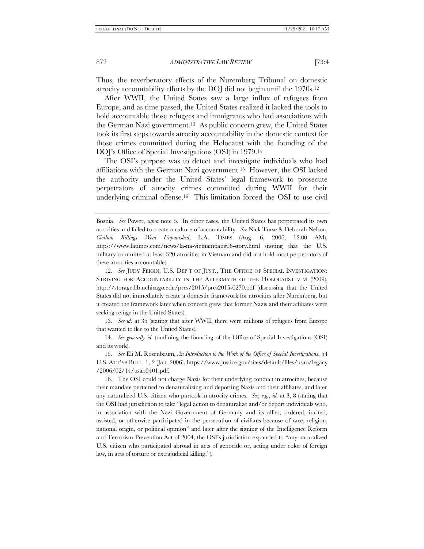Thus, the reverberatory effects of the Nuremberg Tribunal on domestic atrocity accountability efforts by the DOJ did not begin until the 1970s.<sup>12</sup>

After WWII, the United States saw a large influx of refugees from Europe, and as time passed, the United States realized it lacked the tools to hold accountable those refugees and immigrants who had associations with the German Nazi government.13 As public concern grew, the United States took its first steps towards atrocity accountability in the domestic context for those crimes committed during the Holocaust with the founding of the DOJ's Office of Special Investigations (OSI) in 1979.<sup>14</sup>

<span id="page-3-0"></span>The OSI's purpose was to detect and investigate individuals who had affiliations with the German Nazi government.15 However, the OSI lacked the authority under the United States' legal framework to prosecute perpetrators of atrocity crimes committed during WWII for their underlying criminal offense.16 This limitation forced the OSI to use civil

12*. See* JUDY FEIGIN, U.S. DEP'T OF JUST., THE OFFICE OF SPECIAL INVESTIGATION: STRIVING FOR ACCOUNTABILITY IN THE AFTERMATH OF THE HOLOCAUST  $v$ -vi (2009), http://storage.lib.uchicago.edu/pres/2015/pres2015-0270.pdf (discussing that the United States did not immediately create a domestic framework for atrocities after Nuremberg, but it created the framework later when concern grew that former Nazis and their affiliates were seeking refuge in the United States).

13*. See id*. at 35 (stating that after WWII, there were millions of refugees from Europe that wanted to flee to the United States).

14*. See generally id.* (outlining the founding of the Office of Special Investigations (OSI) and its work).

15*. See* Eli M. Rosenbaum, *An Introduction to the Work of the Office of Special Investigations*, 54 U.S. ATT'YS BULL. 1, 2 (Jan. 2006), https://www.justice.gov/sites/default/files/usao/legacy /2006/02/14/usab5401.pdf.

16. The OSI could not charge Nazis for their underlying conduct in atrocities, because their mandate pertained to denaturalizing and deporting Nazis and their affiliates, and later any naturalized U.S. citizen who partook in atrocity crimes. *See, e.g.*, *id*. at 3, 8 (stating that the OSI had jurisdiction to take "legal action to denaturalize and/or deport individuals who, in association with the Nazi Government of Germany and its allies, ordered, incited, assisted, or otherwise participated in the persecution of civilians because of race, religion, national origin, or political opinion" and later after the signing of the Intelligence Reform and Terrorism Prevention Act of 2004, the OSI's jurisdiction expanded to "any naturalized U.S. citizen who participated abroad in acts of genocide or, acting under color of foreign law, in acts of torture or extrajudicial killing.").

Bosnia. *See* Power, *supra* note [5.](#page-1-0) In other cases, the United States has perpetrated its own atrocities and failed to create a culture of accountability. *See* Nick Turse & Deborah Nelson, *Civilian Killings Went Unpunished*, L.A. TIMES (Aug. 6, 2006, 12:00 AM), https://www.latimes.com/news/la-na-vietnam6aug06-story.html (noting that the U.S. military committed at least 320 atrocities in Vietnam and did not hold most perpetrators of these atrocities accountable).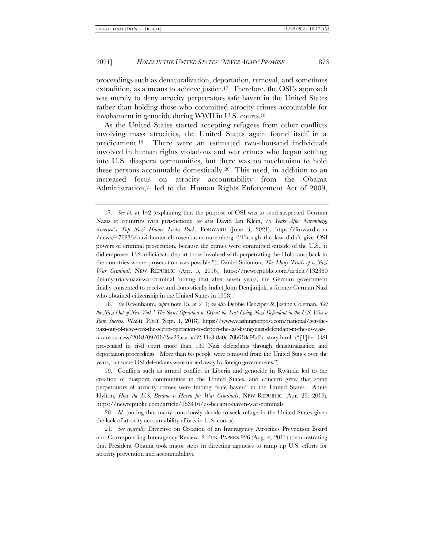proceedings such as denaturalization, deportation, removal, and sometimes extradition, as a means to achieve justice.<sup>17</sup> Therefore, the OSI's approach was merely to deny atrocity perpetrators safe haven in the United States rather than holding those who committed atrocity crimes accountable for involvement in genocide during WWII in U.S. courts.<sup>18</sup>

<span id="page-4-0"></span>As the United States started accepting refugees from other conflicts involving mass atrocities, the United States again found itself in a predicament. <sup>19</sup> There were an estimated two-thousand individuals involved in human rights violations and war crimes who began settling into U.S. diaspora communities, but there was no mechanism to hold these persons accountable domestically.20 This need, in addition to an increased focus on atrocity accountability from the Obama Administration,<sup>21</sup> led to the Human Rights Enforcement Act of 2009,

18*. See* Rosenbaum, *supra* not[e 15,](#page-3-0) at 2–3; *see also* Debbie Cenziper & Justine Coleman, *'Get the Nazi Out of New York.' The Secret Operation to Deport the Last Living Nazi Defendant in the U.S. Was a Rare Success*, WASH. POST (Sept. 1, 2018), https://www.washingtonpost.com/national/get-thenazi-out-of-new-york-the-secret-operation-to-deport-the-last-living-nazi-defendant-in-the-us-wasa-rare-success/2018/09/01/2ea22aca-aa32-11e8-8a0c-70b618c98d3c\_story.html ("[T]he OSI prosecuted in civil court more than 130 Nazi defendants through denaturalization and deportation proceedings. More than 65 people were removed from the United States over the years, but some OSI defendants were turned away by foreign governments.").

19. Conflicts such as armed conflict in Liberia and genocide in Rwanda led to the creation of diaspora communities in the United States, and concern grew that some perpetrators of atrocity crimes were finding "safe haven" in the United States. Annie Hylton, *How the U.S. Became a Haven for War Criminals*, NEW REPUBLIC (Apr. 29, 2019), https://newrepublic.com/article/153416/us-became-haven-war-criminals.

20*. Id.* (noting that many consciously decide to seek refuge in the United States given the lack of atrocity accountability efforts in U.S. courts).

21*. See generally* Directive on Creation of an Interagency Atrocities Prevention Board and Corresponding Interagency Review, 2 PUB. PAPERS 926 (Aug. 4, 2011) (demonstrating that President Obama took major steps in directing agencies to ramp up U.S. efforts for atrocity prevention and accountability).

<span id="page-4-1"></span><sup>17</sup>*. See id*. at 1–2 (explaining that the purpose of OSI was to send suspected German Nazis to countries with jurisdiction); *see also* David Ian Klein, *75 Years After Nuremberg, America's Top Nazi Hunter Looks Back*, FORWARD (June 3, 2021), https://forward.com /news/470833/nazi-hunter-eli-rosenbaum-nuremberg ("Though the law didn't give OSI powers of criminal prosecution, because the crimes were committed outside of the U.S., it did empower U.S. officials to deport those involved with perpetrating the Holocaust back to the countries where prosecution was possible."); Daniel Solomon, *The Many Trials of a Nazi War Criminal*, NEW REPUBLIC (Apr. 5, 2016), https://newrepublic.com/article/132380 /many-trials-nazi-war-criminal (noting that after seven years, the German government finally consented to receive and domestically indict John Demjanjuk, a former German Nazi who obtained citizenship in the United States in 1958).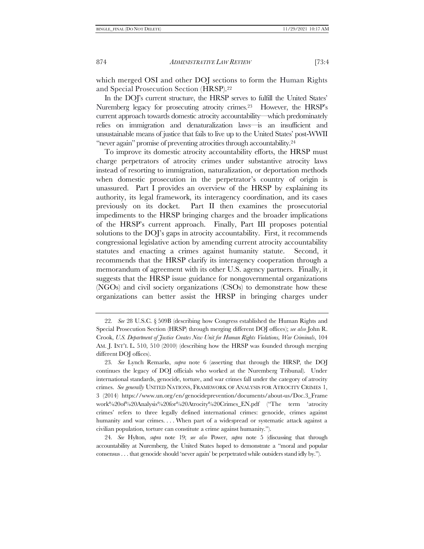which merged OSI and other DOJ sections to form the Human Rights and Special Prosecution Section (HRSP).<sup>22</sup>

<span id="page-5-0"></span>In the DOJ's current structure, the HRSP serves to fulfill the United States' Nuremberg legacy for prosecuting atrocity crimes.<sup>23</sup> However, the HRSP's current approach towards domestic atrocity accountability—which predominately relies on immigration and denaturalization laws—is an insufficient and unsustainable means of justice that fails to live up to the United States' post-WWII "never again" promise of preventing atrocities through accountability.<sup>24</sup>

To improve its domestic atrocity accountability efforts, the HRSP must charge perpetrators of atrocity crimes under substantive atrocity laws instead of resorting to immigration, naturalization, or deportation methods when domestic prosecution in the perpetrator's country of origin is unassured. Part I provides an overview of the HRSP by explaining its authority, its legal framework, its interagency coordination, and its cases previously on its docket. Part II then examines the prosecutorial impediments to the HRSP bringing charges and the broader implications of the HRSP's current approach. Finally, Part III proposes potential solutions to the DOJ's gaps in atrocity accountability. First, it recommends congressional legislative action by amending current atrocity accountability statutes and enacting a crimes against humanity statute. Second, it recommends that the HRSP clarify its interagency cooperation through a memorandum of agreement with its other U.S. agency partners. Finally, it suggests that the HRSP issue guidance for nongovernmental organizations (NGOs) and civil society organizations (CSOs) to demonstrate how these organizations can better assist the HRSP in bringing charges under

<sup>22</sup>*. See* 28 U.S.C. § 509B (describing how Congress established the Human Rights and Special Prosecution Section (HRSP) through merging different DOJ offices); *see also* John R. Crook, *U.S. Department of Justice Creates New Unit for Human Rights Violations, War Criminals*, 104 AM. J. INT'L L. 510, 510 (2010) (describing how the HRSP was founded through merging different DOJ offices).

<sup>23</sup>*. See* Lynch Remarks, *supra* note [6](#page-2-0) (asserting that through the HRSP, the DOJ continues the legacy of DOJ officials who worked at the Nuremberg Tribunal). Under international standards, genocide, torture, and war crimes fall under the category of atrocity crimes. *See generally* UNITED NATIONS, FRAMEWORK OF ANALYSIS FOR ATROCITY CRIMES 1, 3 (2014) https://www.un.org/en/genocideprevention/documents/about-us/Doc.3\_Frame work%20of%20Analysis%20for%20Atrocity%20Crimes\_EN.pdf ("The term 'atrocity crimes' refers to three legally defined international crimes: genocide, crimes against humanity and war crimes.... When part of a widespread or systematic attack against a civilian population, torture can constitute a crime against humanity.").

<sup>24</sup>*. See* Hylton, *supra* note [19;](#page-4-0) *see also* Power, *supra* note [5](#page-1-0) (discussing that through accountability at Nuremberg, the United States hoped to demonstrate a "moral and popular consensus . . . that genocide should 'never again' be perpetrated while outsiders stand idly by.").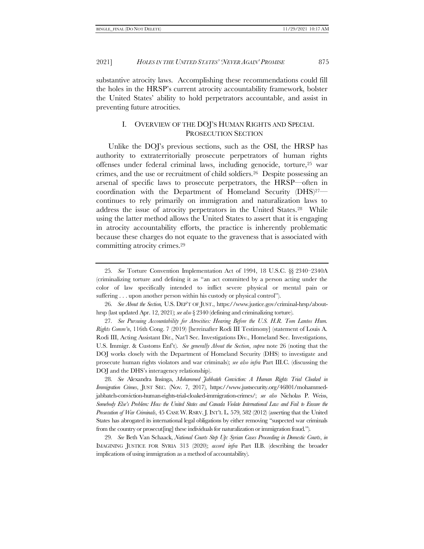substantive atrocity laws. Accomplishing these recommendations could fill the holes in the HRSP's current atrocity accountability framework, bolster the United States' ability to hold perpetrators accountable, and assist in preventing future atrocities.

# <span id="page-6-3"></span><span id="page-6-2"></span><span id="page-6-1"></span><span id="page-6-0"></span>I. OVERVIEW OF THE DOJ'S HUMAN RIGHTS AND SPECIAL PROSECUTION SECTION

 Unlike the DOJ's previous sections, such as the OSI, the HRSP has authority to extraterritorially prosecute perpetrators of human rights offenses under federal criminal laws, including genocide, torture,<sup>25</sup> war crimes, and the use or recruitment of child soldiers.26 Despite possessing an arsenal of specific laws to prosecute perpetrators, the HRSP—often in coordination with the Department of Homeland Security (DHS)27 continues to rely primarily on immigration and naturalization laws to address the issue of atrocity perpetrators in the United States.28 While using the latter method allows the United States to assert that it is engaging in atrocity accountability efforts, the practice is inherently problematic because these charges do not equate to the graveness that is associated with committing atrocity crimes.<sup>29</sup>

26*. See About the Section,* U.S. DEP'T OF JUST., https://www.justice.gov/criminal-hrsp/abouthrsp (last updated Apr. 12, 2021); *see also* § 2340 (defining and criminalizing torture).

27*. See Pursuing Accountability for Atrocities: Hearing Before the U.S. H.R. Tom Lantos Hum. Rights Comm'n*, 116th Cong. 7 (2019) [hereinafter Rodi III Testimony] (statement of Louis A. Rodi III, Acting Assistant Dir., Nat'l Sec. Investigations Div., Homeland Sec. Investigations, U.S. Immigr. & Customs Enf't). *See generally About the Section*, *supra* note [26](#page-6-0) (noting that the DOJ works closely with the Department of Homeland Security (DHS) to investigate and prosecute human rights violators and war criminals); *see also infra* Part II[I.C.](#page-28-0) (discussing the DOJ and the DHS's interagency relationship).

28*. See* Alexandra Insinga, *Mohammed Jabbateh Conviction: A Human Rights Trial Cloaked in Immigration Crimes*, JUST SEC. (Nov. 7, 2017), https://www.justsecurity.org/46801/mohammedjabbateh-conviction-human-rights-trial-cloaked-immigration-crimes/; *see also* Nicholas P. Weiss, *Somebody Else's Problem: How the United States and Canada Violate International Law and Fail to Ensure the Prosecution of War Criminals*, 45 CASE W. RSRV. J. INT'L L. 579, 582 (2012) (asserting that the United States has abrogated its international legal obligations by either removing "suspected war criminals from the country or prosecut[ing] these individuals for naturalization or immigration fraud.").

29*. See* Beth Van Schaack, *National Courts Step Up: Syrian Cases Proceeding in Domestic Courts*, *in*  IMAGINING JUSTICE FOR SYRIA 313 (2020); *accord infra* Part [II.](#page-19-0)[B.](#page-22-0) (describing the broader implications of using immigration as a method of accountability).

<sup>25</sup>*. See* Torture Convention Implementation Act of 1994, 18 U.S.C. §§ 2340–2340A (criminalizing torture and defining it as "an act committed by a person acting under the color of law specifically intended to inflict severe physical or mental pain or suffering . . . upon another person within his custody or physical control").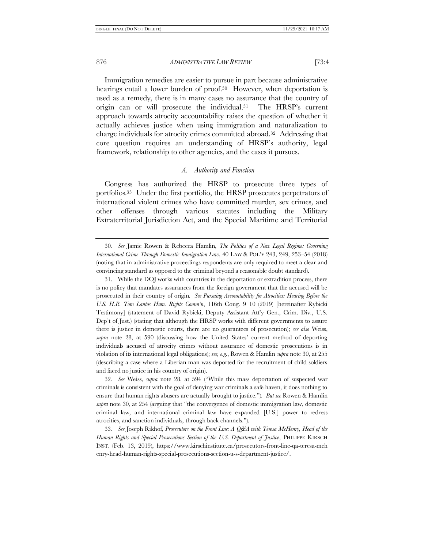Immigration remedies are easier to pursue in part because administrative hearings entail a lower burden of proof.<sup>30</sup> However, when deportation is used as a remedy, there is in many cases no assurance that the country of origin can or will prosecute the individual.31 The HRSP's current approach towards atrocity accountability raises the question of whether it actually achieves justice when using immigration and naturalization to charge individuals for atrocity crimes committed abroad.32 Addressing that core question requires an understanding of HRSP's authority, legal framework, relationship to other agencies, and the cases it pursues.

#### <span id="page-7-4"></span><span id="page-7-1"></span><span id="page-7-0"></span>*A. Authority and Function*

<span id="page-7-3"></span><span id="page-7-2"></span>Congress has authorized the HRSP to prosecute three types of portfolios.33 Under the first portfolio, the HRSP prosecutes perpetrators of international violent crimes who have committed murder, sex crimes, and other offenses through various statutes including the Military Extraterritorial Jurisdiction Act, and the Special Maritime and Territorial

32*. See* Weiss, *supra* note [28](#page-6-1), at 594 ("While this mass deportation of suspected war criminals is consistent with the goal of denying war criminals a safe haven, it does nothing to ensure that human rights abusers are actually brought to justice."). *But see* Rowen & Hamlin *supra* note [30](#page-7-0), at 254 (arguing that "the convergence of domestic immigration law, domestic criminal law, and international criminal law have expanded [U.S.] power to redress atrocities, and sanction individuals, through back channels.").

33*. See* Joseph Rikhof, *Prosecutors on the Front Line: A Q&A with Teresa McHenry, Head of the Human Rights and Special Prosecutions Section of the U.S. Department of Justice*, PHILIPPE KIRSCH INST. (Feb. 13, 2019), https://www.kirschinstitute.ca/prosecutors-front-line-qa-teresa-mch enry-head-human-rights-special-prosecutions-section-u-s-department-justice/.

<sup>30</sup>*. See* Jamie Rowen & Rebecca Hamlin, *The Politics of a New Legal Regime: Governing International Crime Through Domestic Immigration Law*, 40 LAW & POL'Y 243, 249, 253–54 (2018) (noting that in administrative proceedings respondents are only required to meet a clear and convincing standard as opposed to the criminal beyond a reasonable doubt standard).

<sup>31.</sup> While the DOJ works with countries in the deportation or extradition process, there is no policy that mandates assurances from the foreign government that the accused will be prosecuted in their country of origin. *See Pursuing Accountability for Atrocities: Hearing Before the U.S. H.R. Tom Lantos Hum. Rights Comm'n*, 116th Cong. 9–10 (2019) [hereinafter Rybicki Testimony] (statement of David Rybicki, Deputy Assistant Att'y Gen., Crim. Div., U.S. Dep't of Just.) (stating that although the HRSP works with different governments to assure there is justice in domestic courts, there are no guarantees of prosecution); *see also* Weiss, *supra* note [28](#page-6-1), at 590 (discussing how the United States' current method of deporting individuals accused of atrocity crimes without assurance of domestic prosecutions is in violation of its international legal obligations); *see, e.g.*, Rowen & Hamlin *supra* note [30,](#page-7-0) at 255 (describing a case where a Liberian man was deported for the recruitment of child soldiers and faced no justice in his country of origin).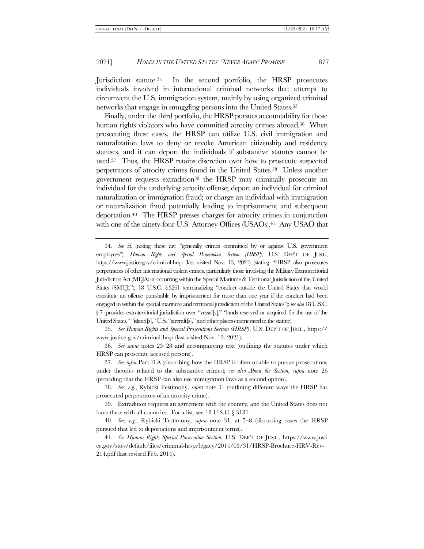Jurisdiction statute.34 In the second portfolio, the HRSP prosecutes individuals involved in international criminal networks that attempt to circumvent the U.S. immigration system, mainly by using organized criminal networks that engage in smuggling persons into the United States.<sup>35</sup>

Finally, under the third portfolio, the HRSP pursues accountability for those human rights violators who have committed atrocity crimes abroad.<sup>36</sup> When prosecuting these cases, the HRSP can utilize U.S. civil immigration and naturalization laws to deny or revoke American citizenship and residency statuses, and it can deport the individuals if substantive statutes cannot be used.37 Thus, the HRSP retains discretion over how to prosecute suspected perpetrators of atrocity crimes found in the United States.38 Unless another government requests extradition<sup>39</sup> the HRSP may criminally prosecute an individual for the underlying atrocity offense; deport an individual for criminal naturalization or immigration fraud; or charge an individual with immigration or naturalization fraud potentially leading to imprisonment and subsequent deportation.40 The HRSP presses charges for atrocity crimes in conjunction with one of the ninety-four U.S. Attorney Offices (USAOs).<sup>41</sup> Any USAO that

35*. See Human Rights and Special Prosecutions Section (HRSP)*, U.S. DEP'T OF JUST., https:// www.justice.gov/criminal-hrsp (last visited Nov. 13, 2021).

36*. See supra* notes [23](#page-5-0)–[28](#page-6-1) and accompanying text (outlining the statutes under which HRSP can prosecute accused persons).

37*. See infra* Par[t II](#page-19-0)[.A](#page-19-1) (describing how the HRSP is often unable to pursue prosecutions under theories related to the substantive crimes); *see also About the Section*, *supra* note [26](#page-6-0) (providing that the HRSP can also use immigration laws as a second option).

38*. See, e.g.*, Rybicki Testimony, *supra* note [31](#page-7-1) (outlining different ways the HRSP has prosecuted perpetrators of an atrocity crime).

39. Extradition requires an agreement with the country, and the United States does not have these with all countries. For a list, see 18 U.S.C. § 3181.

40*. See, e.g.*, Rybicki Testimony, *supra* note [31,](#page-7-1) at 5–8 (discussing cases the HRSP pursued that led to deportations and imprisonment terms).

41*. See Human Rights Special Prosecution Section*, U.S. DEP'T OF JUST., https://www.justi ce.gov/sites/default/files/criminal-hrsp/legacy/2014/03/31/HRSP-Brochure-HRV-Rev-214.pdf (last revised Feb. 2014).

<sup>34</sup>*. See id.* (noting these are "generally crimes committed by or against U.S. government employees"); *Human Rights and Special Prosecutions Section (HRSP)*, U.S. DEP'T OF JUST., https://www.justice.gov/criminal-hrsp (last visited Nov. 13, 2021) (stating "HRSP also prosecutes perpetrators of other international violent crimes, particularly those involving the Military Extraterritorial Jurisdiction Act (MEJA) or occurring within the Special Maritime & Territorial Jurisdiction of the United States (SMTJ)."); 18 U.S.C. § 3261 (criminalizing "conduct outside the United States that would constitute an offense punishable by imprisonment for more than one year if the conduct had been engaged in within the special maritime and territorial jurisdiction of the United States"); *see also* 18 U.S.C. § 7 (provides extraterritorial jurisdiction over "vessel[s]," "lands reserved or acquired for the use of the United States," "island[s]," U.S. "aircraft[s]," and other places enumerated in the statute).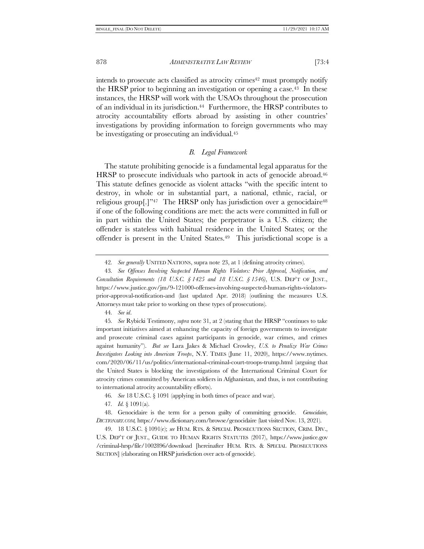intends to prosecute acts classified as atrocity crimes<sup>42</sup> must promptly notify the HRSP prior to beginning an investigation or opening a case.43 In these instances, the HRSP will work with the USAOs throughout the prosecution of an individual in its jurisdiction.44 Furthermore, the HRSP contributes to atrocity accountability efforts abroad by assisting in other countries' investigations by providing information to foreign governments who may be investigating or prosecuting an individual.<sup>45</sup>

## <span id="page-9-0"></span>*B. Legal Framework*

<span id="page-9-1"></span>The statute prohibiting genocide is a fundamental legal apparatus for the HRSP to prosecute individuals who partook in acts of genocide abroad.<sup>46</sup> This statute defines genocide as violent attacks "with the specific intent to destroy, in whole or in substantial part, a national, ethnic, racial, or religious group $[.]$ <sup>247</sup> The HRSP only has jurisdiction over a genocidaire<sup>48</sup> if one of the following conditions are met: the acts were committed in full or in part within the United States; the perpetrator is a U.S. citizen; the offender is stateless with habitual residence in the United States; or the offender is present in the United States.49 This jurisdictional scope is a

44*. See id*.

45*. See* Rybicki Testimony, *supra* not[e 31](#page-7-1), at 2 (stating that the HRSP "continues to take important initiatives aimed at enhancing the capacity of foreign governments to investigate and prosecute criminal cases against participants in genocide, war crimes, and crimes against humanity"). *But see* Lara Jakes & Michael Crowley, *U.S. to Penalize War Crimes Investigators Looking into American Troops*, N.Y. TIMES (June 11, 2020), https://www.nytimes. com/2020/06/11/us/politics/international-criminal-court-troops-trump.html (arguing that the United States is blocking the investigations of the International Criminal Court for atrocity crimes committed by American soldiers in Afghanistan, and thus, is not contributing to international atrocity accountability efforts).

46*. See* 18 U.S.C. § 1091 (applying in both times of peace and war).

47*. Id.* § 1091(a).

48. Genocidaire is the term for a person guilty of committing genocide. *Genocidaire*, *DICTIONARY.COM,* https://www.dictionary.com/browse/genocidaire (last visited Nov. 13, 2021).

49. 18 U.S.C. § 1091(e); *see* HUM. RTS. & SPECIAL PROSECUTIONS SECTION, CRIM. DIV., U.S. DEP'T OF JUST., GUIDE TO HUMAN RIGHTS STATUTES (2017), https://www.justice.gov /criminal-hrsp/file/1002896/download [hereinafter HUM. RTS. & SPECIAL PROSECUTIONS SECTION] (elaborating on HRSP jurisdiction over acts of genocide).

<sup>42</sup>*. See generally* UNITED NATIONS, supra note [23,](#page-5-0) at 1 (defining atrocity crimes).

<sup>43</sup>*. See Offenses Involving Suspected Human Rights Violators: Prior Approval, Notification, and Consultation Requirements (18 U.S.C. § 1425 and 18 U.S.C. § 1546)*, U.S. DEP'T OF JUST., https://www.justice.gov/jm/9-121000-offenses-involving-suspected-human-rights-violatorsprior-approval-notification-and (last updated Apr. 2018) (outlining the measures U.S. Attorneys must take prior to working on these types of prosecutions).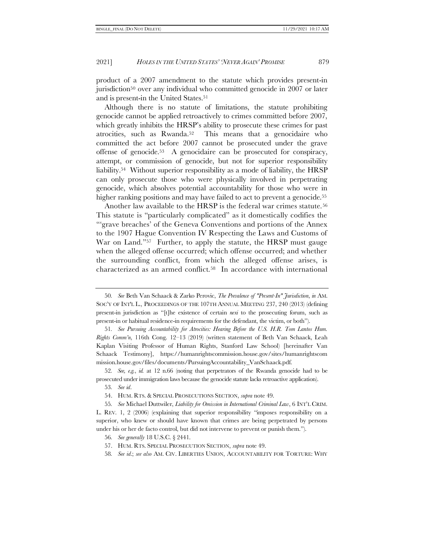product of a 2007 amendment to the statute which provides present-in jurisdiction<sup>50</sup> over any individual who committed genocide in 2007 or later and is present-in the United States.<sup>51</sup>

<span id="page-10-0"></span>Although there is no statute of limitations, the statute prohibiting genocide cannot be applied retroactively to crimes committed before 2007, which greatly inhibits the HRSP's ability to prosecute these crimes for past atrocities, such as Rwanda.52 This means that a genocidaire who committed the act before 2007 cannot be prosecuted under the grave offense of genocide.53 A genocidaire can be prosecuted for conspiracy, attempt, or commission of genocide, but not for superior responsibility liability.<sup>54</sup> Without superior responsibility as a mode of liability, the HRSP can only prosecute those who were physically involved in perpetrating genocide, which absolves potential accountability for those who were in higher ranking positions and may have failed to act to prevent a genocide.<sup>55</sup>

<span id="page-10-1"></span>Another law available to the HRSP is the federal war crimes statute.<sup>56</sup> This statute is "particularly complicated" as it domestically codifies the "'grave breaches' of the Geneva Conventions and portions of the Annex to the 1907 Hague Convention IV Respecting the Laws and Customs of War on Land."<sup>57</sup> Further, to apply the statute, the HRSP must gauge when the alleged offense occurred; which offense occurred; and whether the surrounding conflict, from which the alleged offense arises, is characterized as an armed conflict.58 In accordance with international

52*. See, e.g.*, *id.* at 12 n.66 (noting that perpetrators of the Rwanda genocide had to be prosecuted under immigration laws because the genocide statute lacks retroactive application).

55*. See* Michael Duttwiler, *Liability for Omission in International Criminal Law*, 6 INT'L CRIM. L. REV. 1, 2 (2006) (explaining that superior responsibility "imposes responsibility on a superior, who knew or should have known that crimes are being perpetrated by persons under his or her de facto control, but did not intervene to prevent or punish them.").

56*. See generally* 18 U.S.C. § 2441.

<span id="page-10-2"></span><sup>50</sup>*. See* Beth Van Schaack & Zarko Perovic, *The Prevalence of "Present-In" Jurisdiction*, *in* AM. SOC'Y OF INT'L L., PROCEEDINGS OF THE 107TH ANNUAL MEETING 237, 240 (2013) (defining present-in jurisdiction as "[t]he existence of certain *nexi* to the prosecuting forum, such as present-in or habitual residence-in requirements for the defendant, the victim, or both").

<sup>51</sup>*. See Pursuing Accountability for Atrocities: Hearing Before the U.S. H.R. Tom Lantos Hum. Rights Comm'n*, 116th Cong. 12–13 (2019) (written statement of Beth Van Schaack, Leah Kaplan Visiting Professor of Human Rights, Stanford Law School) [hereinafter Van Schaack Testimony], https://humanrightscommission.house.gov/sites/humanrightscom mission.house.gov/files/documents/PursuingAccountability\_VanSchaack.pdf.

<sup>53</sup>*. See id*.

<sup>54.</sup> HUM. RTS. & SPECIAL PROSECUTIONS SECTION, *supra* not[e 49.](#page-9-0)

<sup>57.</sup> HUM. RTS. SPECIAL PROSECUTION SECTION, *supra* note [49.](#page-9-0)

<sup>58</sup>*. See id*.; *see also* AM. CIV. LIBERTIES UNION, ACCOUNTABILITY FOR TORTURE: WHY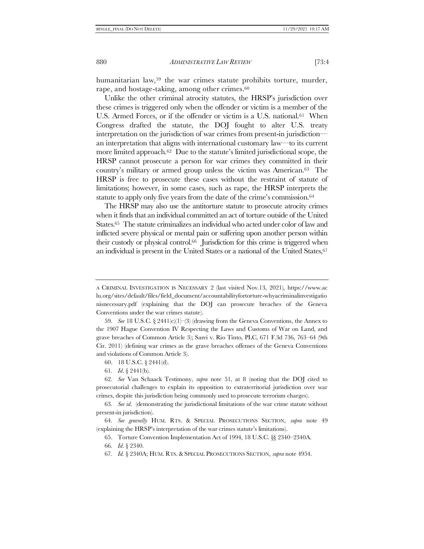humanitarian law,<sup>59</sup> the war crimes statute prohibits torture, murder, rape, and hostage-taking, among other crimes.<sup>60</sup>

<span id="page-11-0"></span>Unlike the other criminal atrocity statutes, the HRSP's jurisdiction over these crimes is triggered only when the offender or victim is a member of the U.S. Armed Forces, or if the offender or victim is a U.S. national.<sup>61</sup> When Congress drafted the statute, the DOJ fought to alter U.S. treaty interpretation on the jurisdiction of war crimes from present-in jurisdiction an interpretation that aligns with international customary law—to its current more limited approach.<sup>62</sup> Due to the statute's limited jurisdictional scope, the HRSP cannot prosecute a person for war crimes they committed in their country's military or armed group unless the victim was American.63 The HRSP is free to prosecute these cases without the restraint of statute of limitations; however, in some cases, such as rape, the HRSP interprets the statute to apply only five years from the date of the crime's commission.<sup>64</sup>

The HRSP may also use the antitorture statute to prosecute atrocity crimes when it finds that an individual committed an act of torture outside of the United States.65 The statute criminalizes an individual who acted under color of law and inflicted severe physical or mental pain or suffering upon another person within their custody or physical control.66 Jurisdiction for this crime is triggered when an individual is present in the United States or a national of the United States,<sup>67</sup>

A CRIMINAL INVESTIGATION IS NECESSARY 2 (last visited Nov.13, 2021), https://www.ac lu.org/sites/default/files/field\_document/accountabilityfortorture-whyacriminalinvestigatio nisnecessary.pdf (explaining that the DOJ can prosecute breaches of the Geneva Conventions under the war crimes statute).

<sup>59</sup>*. See* 18 U.S.C. § 2441(c)(1)–(3) (drawing from the Geneva Conventions, the Annex to the 1907 Hague Convention IV Respecting the Laws and Customs of War on Land, and grave breaches of Common Article 3); Sarei v. Rio Tinto, PLC, 671 F.3d 736, 763–64 (9th Cir. 2011) (defining war crimes as the grave breaches offenses of the Geneva Conventions and violations of Common Article 3).

<sup>60.</sup> 18 U.S.C. § 2441(d).

<sup>61</sup>*. Id*. § 2441(b).

<sup>62</sup>*. See* Van Schaack Testimony, *supra* note [51,](#page-10-0) at 8 (noting that the DOJ cited to prosecutorial challenges to explain its opposition to extraterritorial jurisdiction over war crimes, despite this jurisdiction being commonly used to prosecute terrorism charges).

<sup>63</sup>*. See id*. (demonstrating the jurisdictional limitations of the war crime statute without present-in jurisdiction).

<sup>64</sup>*. See generally* HUM. RTS. & SPECIAL PROSECUTIONS SECTION, *supra* note [49](#page-9-0) (explaining the HRSP's interpretation of the war crimes statute's limitations).

<sup>65.</sup> Torture Convention Implementation Act of 1994, 18 U.S.C. §§ 2340–2340A.

<sup>66</sup>*. Id*. § 2340.

<sup>67</sup>*. Id.* § 2340A; HUM. RTS. &SPECIAL PROSECUTIONS SECTION, *supra* not[e 49](#page-9-0)[54.](#page-10-1)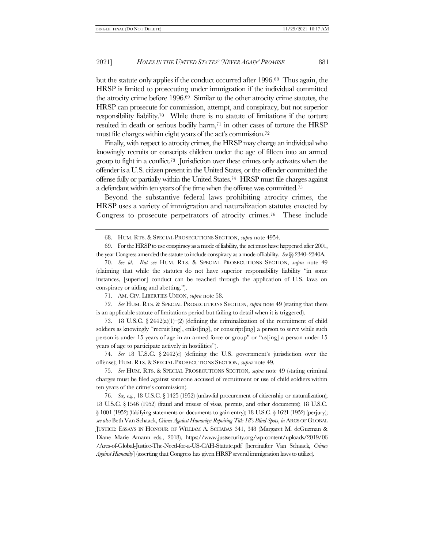but the statute only applies if the conduct occurred after 1996.68 Thus again, the HRSP is limited to prosecuting under immigration if the individual committed the atrocity crime before 1996.69 Similar to the other atrocity crime statutes, the HRSP can prosecute for commission, attempt, and conspiracy, but not superior responsibility liability.70 While there is no statute of limitations if the torture resulted in death or serious bodily harm,<sup>71</sup> in other cases of torture the HRSP must file charges within eight years of the act's commission.<sup>72</sup>

Finally, with respect to atrocity crimes, the HRSP may charge an individual who knowingly recruits or conscripts children under the age of fifteen into an armed group to fight in a conflict.73 Jurisdiction over these crimes only activates when the offender is a U.S. citizen present in the United States, or the offender committed the offense fully or partially within the United States.74 HRSP must file charges against a defendant within ten years of the time when the offense was committed.<sup>75</sup>

Beyond the substantive federal laws prohibiting atrocity crimes, the HRSP uses a variety of immigration and naturalization statutes enacted by Congress to prosecute perpetrators of atrocity crimes.<sup>76</sup> These include

69. For the HRSP to use conspiracy as a mode of liability, the act must have happened after 2001, the year Congress amended the statute to include conspiracy as a mode of liability. *See*§§ 2340–2340A.

71. AM. CIV. LIBERTIES UNION, *supra* not[e 58.](#page-10-2)

72*. See* HUM. RTS. & SPECIAL PROSECUTIONS SECTION, *supra* note [49](#page-9-0) (stating that there is an applicable statute of limitations period but failing to detail when it is triggered).

73. 18 U.S.C.  $\S 2442(a)(1)$  (defining the criminalization of the recruitment of child soldiers as knowingly "recruit[ing], enlist[ing], or conscript[ing] a person to serve while such person is under 15 years of age in an armed force or group" or "us[ing] a person under 15 years of age to participate actively in hostilities").

74*. See* 18 U.S.C. § 2442(c) (defining the U.S. government's jurisdiction over the offense); HUM. RTS. &SPECIAL PROSECUTIONS SECTION, *supra* not[e 49.](#page-9-0)

75*. See* HUM. RTS. & SPECIAL PROSECUTIONS SECTION, *supra* note [49](#page-9-0) (stating criminal charges must be filed against someone accused of recruitment or use of child soldiers within ten years of the crime's commission).

76*. See, e.g.*, 18 U.S.C. § 1425 (1952) (unlawful procurement of citizenship or naturalization); 18 U.S.C. § 1546 (1952) (fraud and misuse of visas, permits, and other documents); 18 U.S.C. § 1001 (1952) (falsifying statements or documents to gain entry); 18 U.S.C. § 1621 (1952) (perjury); *see also* Beth Van Schaack, *Crimes Against Humanity: Repairing Title 18's Blind Spots*, *in* ARCS OF GLOBAL JUSTICE: ESSAYS IN HONOUR OF WILLIAM A. SCHABAS 341, 348 (Margaret M. deGuzman & Diane Marie Amann eds., 2018), https://www.justsecurity.org/wp-content/uploads/2019/06 /Arcs-of-Global-Justice-The-Need-for-a-US-CAH-Statute.pdf [hereinafter Van Schaack, *Crimes Against Humanity*] (asserting that Congress has given HRSP several immigration laws to utilize).

<span id="page-12-0"></span><sup>68.</sup> HUM. RTS. & SPECIAL PROSECUTIONS SECTION, *supra* not[e 49](#page-9-0)[54.](#page-10-1)

<sup>70</sup>*. See id*. *But see* HUM. RTS. & SPECIAL PROSECUTIONS SECTION, *supra* note [49](#page-9-0) (claiming that while the statutes do not have superior responsibility liability "in some instances, [superior] conduct can be reached through the application of U.S. laws on conspiracy or aiding and abetting.").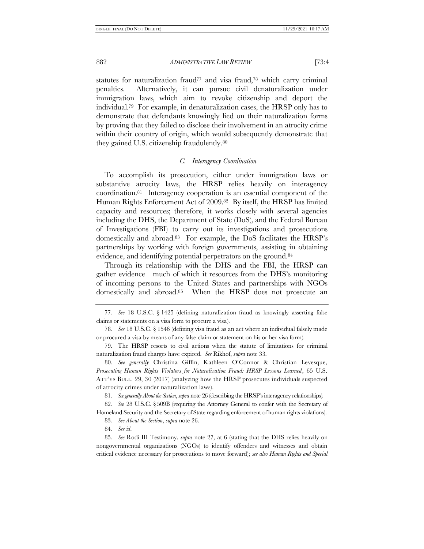statutes for naturalization fraud<sup>77</sup> and visa fraud,<sup>78</sup> which carry criminal penalties. Alternatively, it can pursue civil denaturalization under immigration laws, which aim to revoke citizenship and deport the individual.79 For example, in denaturalization cases, the HRSP only has to demonstrate that defendants knowingly lied on their naturalization forms by proving that they failed to disclose their involvement in an atrocity crime within their country of origin, which would subsequently demonstrate that they gained U.S. citizenship fraudulently.<sup>80</sup>

## *C. Interagency Coordination*

<span id="page-13-1"></span>To accomplish its prosecution, either under immigration laws or substantive atrocity laws, the HRSP relies heavily on interagency coordination.81 Interagency cooperation is an essential component of the Human Rights Enforcement Act of 2009.82 By itself, the HRSP has limited capacity and resources; therefore, it works closely with several agencies including the DHS, the Department of State (DoS), and the Federal Bureau of Investigations (FBI) to carry out its investigations and prosecutions domestically and abroad.83 For example, the DoS facilitates the HRSP's partnerships by working with foreign governments, assisting in obtaining evidence, and identifying potential perpetrators on the ground.<sup>84</sup>

Through its relationship with the DHS and the FBI, the HRSP can gather evidence—much of which it resources from the DHS's monitoring of incoming persons to the United States and partnerships with NGOs domestically and abroad.85 When the HRSP does not prosecute an

79. The HRSP resorts to civil actions when the statute of limitations for criminal naturalization fraud charges have expired. *See* Rikhof, *supra* not[e 33.](#page-7-2)

80*. See generally* Christina Giffin, Kathleen O'Connor & Christian Levesque, *Prosecuting Human Rights Violators for Naturalization Fraud: HRSP Lessons Learned*, 65 U.S. ATT'YS BULL. 29, 30 (2017) (analyzing how the HRSP prosecutes individuals suspected of atrocity crimes under naturalization laws).

81*. See generally About the Section*, *supra* not[e 26](#page-6-0) (describing the HRSP's interagency relationships).

82*. See* 28 U.S.C. § 509B (requiring the Attorney General to confer with the Secretary of Homeland Security and the Secretary of State regarding enforcement of human rights violations).

83*. See About the Section*, *supra* not[e 26.](#page-6-0)

84*. See id*.

85*. See* Rodi III Testimony, *supra* note [27,](#page-6-2) at 6 (stating that the DHS relies heavily on nongovernmental organizations (NGOs) to identify offenders and witnesses and obtain critical evidence necessary for prosecutions to move forward); *see also Human Rights and Special* 

<span id="page-13-0"></span><sup>77</sup>*. See* 18 U.S.C. § 1425 (defining naturalization fraud as knowingly asserting false claims or statements on a visa form to procure a visa).

<sup>78</sup>*. See* 18 U.S.C. § 1546 (defining visa fraud as an act where an individual falsely made or procured a visa by means of any false claim or statement on his or her visa form).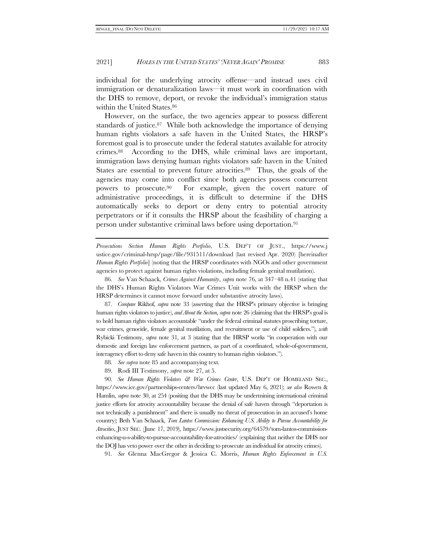individual for the underlying atrocity offense—and instead uses civil immigration or denaturalization laws—it must work in coordination with the DHS to remove, deport, or revoke the individual's immigration status within the United States.<sup>86</sup>

However, on the surface, the two agencies appear to possess different standards of justice.87 While both acknowledge the importance of denying human rights violators a safe haven in the United States, the HRSP's foremost goal is to prosecute under the federal statutes available for atrocity crimes.88 According to the DHS, while criminal laws are important, immigration laws denying human rights violators safe haven in the United States are essential to prevent future atrocities.89 Thus, the goals of the agencies may come into conflict since both agencies possess concurrent powers to prosecute.90 For example, given the covert nature of administrative proceedings, it is difficult to determine if the DHS automatically seeks to deport or deny entry to potential atrocity perpetrators or if it consults the HRSP about the feasibility of charging a person under substantive criminal laws before using deportation.<sup>91</sup>

*Prosecutions Section Human Rights Portfolio*, U.S. DEP'T OF JUST., https://www.j ustice.gov/criminal-hrsp/page/file/931511/download (last revised Apr. 2020) [hereinafter *Human Rights Portfolio*] (noting that the HRSP coordinates with NGOs and other government agencies to protect against human rights violations, including female genital mutilation).

86*. See* Van Schaack, *Crimes Against Humanity*, *supra* note [76,](#page-12-0) at 347–48 n.41 (stating that the DHS's Human Rights Violators War Crimes Unit works with the HRSP when the HRSP determines it cannot move forward under substantive atrocity laws).

87*. Compare* Rikhof, *supra* note [33](#page-7-2) (asserting that the HRSP's primary objective is bringing human rights violators to justice), *and About the Section*, *supra* note [26](#page-6-0) (claiming that the HRSP's goal is to hold human rights violators accountable "under the federal criminal statutes proscribing torture, war crimes, genocide, female genital mutilation, and recruitment or use of child soldiers."), *with* Rybicki Testimony, *supra* note [31](#page-7-1), at 3 (stating that the HRSP works "in cooperation with our domestic and foreign law enforcement partners, as part of a coordinated, whole-of-government, interagency effort to deny safe haven in this country to human rights violators.").

- 88*. See supra* not[e 85](#page-13-0) and accompanying text.
- 89. Rodi III Testimony, *supra* not[e 27,](#page-6-2) at 5.

90*. See Human Rights Violators & War Crimes Center*, U.S. DEP'T OF HOMELAND SEC., https://www.ice.gov/partnerships-centers/hrvwcc (last updated May 6, 2021); *see also* Rowen & Hamlin, *supra* not[e 30,](#page-7-0) at 254 (positing that the DHS may be undermining international criminal justice efforts for atrocity accountability because the denial of safe haven through "deportation is not technically a punishment" and there is usually no threat of prosecution in an accused's home country); Beth Van Schaack, *Tom Lantos Commission: Enhancing U.S. Ability to Pursue Accountability for Atrocities*, JUST SEC. (June 17, 2019), https://www.justsecurity.org/64579/tom-lantos-commissionenhancing-u-s-ability-to-pursue-accountability-for-atrocities/ (explaining that neither the DHS nor the DOJ has veto power over the other in deciding to prosecute an individual for atrocity crimes).

91*. See* Glenna MacGregor & Jessica C. Morris, *Human Rights Enforcement in U.S.*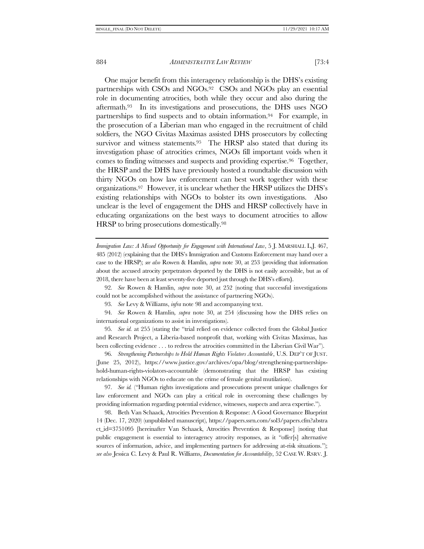One major benefit from this interagency relationship is the DHS's existing partnerships with CSOs and NGOs.92 CSOs and NGOs play an essential role in documenting atrocities, both while they occur and also during the aftermath.93 In its investigations and prosecutions, the DHS uses NGO partnerships to find suspects and to obtain information.94 For example, in the prosecution of a Liberian man who engaged in the recruitment of child soldiers, the NGO Civitas Maximas assisted DHS prosecutors by collecting survivor and witness statements.<sup>95</sup> The HRSP also stated that during its investigation phase of atrocities crimes, NGOs fill important voids when it comes to finding witnesses and suspects and providing expertise.96 Together, the HRSP and the DHS have previously hosted a roundtable discussion with thirty NGOs on how law enforcement can best work together with these organizations.<sup>97</sup> However, it is unclear whether the HRSP utilizes the DHS's existing relationships with NGOs to bolster its own investigations. Also unclear is the level of engagement the DHS and HRSP collectively have in educating organizations on the best ways to document atrocities to allow HRSP to bring prosecutions domestically.<sup>98</sup>

<span id="page-15-0"></span>*Immigration Law: A Missed Opportunity for Engagement with International Law*, 5 J. MARSHALL L.J. 467, 485 (2012) (explaining that the DHS's Immigration and Customs Enforcement may hand over a case to the HRSP); *see also* Rowen & Hamlin, *supra* note [30,](#page-7-0) at 253 (providing that information about the accused atrocity perpetrators deported by the DHS is not easily accessible, but as of 2018, there have been at least seventy-five deported just through the DHS's efforts**)**.

92*. See* Rowen & Hamlin, *supra* note [30,](#page-7-0) at 252 (noting that successful investigations could not be accomplished without the assistance of partnering NGOs).

93*. See* Levy & Williams, *infra* not[e 98](#page-15-0) and accompanying text.

94*. See* Rowen & Hamlin*, supra* note [30,](#page-7-0) at 254 (discussing how the DHS relies on international organizations to assist in investigations).

95*. See id.* at 255 (stating the "trial relied on evidence collected from the Global Justice and Research Project, a Liberia-based nonprofit that, working with Civitas Maximas, has been collecting evidence . . . to redress the atrocities committed in the Liberian Civil War").

96*. Strengthening Partnerships to Hold Human Rights Violators Accountable*, U.S. DEP'T OF JUST. (June 25, 2012), https://www.justice.gov/archives/opa/blog/strengthening-partnershipshold-human-rights-violators-accountable (demonstrating that the HRSP has existing relationships with NGOs to educate on the crime of female genital mutilation).

97*. See id.* ("Human rights investigations and prosecutions present unique challenges for law enforcement and NGOs can play a critical role in overcoming these challenges by providing information regarding potential evidence, witnesses, suspects and area expertise.").

98. Beth Van Schaack, Atrocities Prevention & Response: A Good Governance Blueprint 14 (Dec. 17, 2020) (unpublished manuscript), https://papers.ssrn.com/sol3/papers.cfm?abstra ct\_id=3751095 [hereinafter Van Schaack, Atrocities Prevention & Response] (noting that public engagement is essential to interagency atrocity responses, as it "offer[s] alternative sources of information, advice, and implementing partners for addressing at-risk situations."); *see also* Jessica C. Levy & Paul R. Williams, *Documentation for Accountability*, 52 CASE W. RSRV. J.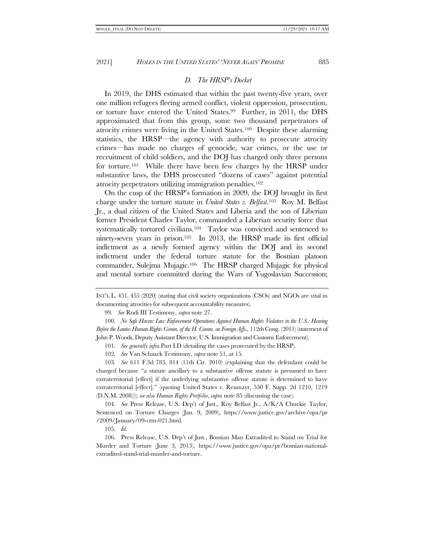## *D. The HRSP's Docket*

<span id="page-16-0"></span>In 2019, the DHS estimated that within the past twenty-five years, over one million refugees fleeing armed conflict, violent oppression, prosecution, or torture have entered the United States.99 Further, in 2011, the DHS approximated that from this group, some two thousand perpetrators of atrocity crimes were living in the United States.100 Despite these alarming statistics, the HRSP—the agency with authority to prosecute atrocity crimes—has made no charges of genocide, war crimes, or the use or recruitment of child soldiers, and the DOJ has charged only three persons for torture.101 While there have been few charges by the HRSP under substantive laws, the DHS prosecuted "dozens of cases" against potential atrocity perpetrators utilizing immigration penalties.<sup>102</sup>

On the cusp of the HRSP's formation in 2009, the DOJ brought its first charge under the torture statute in *United States v. Belfast*. <sup>103</sup> Roy M. Belfast Jr., a dual citizen of the United States and Liberia and the son of Liberian former President Charles Taylor, commanded a Liberian security force that systematically tortured civilians.<sup>104</sup> Taylor was convicted and sentenced to ninety-seven years in prison.105 In 2013, the HRSP made its first official indictment as a newly formed agency within the DOJ and its second indictment under the federal torture statute for the Bosnian platoon commander, Sulejma Mujagic.106 The HRSP charged Mujagic for physical and mental torture committed during the Wars of Yugoslavian Succession;

99*. See* Rodi III Testimony, *supra* not[e 27.](#page-6-2)

100*. No Safe Haven: Law Enforcement Operations Against Human Rights Violators in the U.S.: Hearing Before the Lantos Human Rights Comm. of the H. Comm. on Foreign Affs.*, 112th Cong. (2011) (statement of John P. Woods, Deputy Assistant Director, U.S. Immigration and Customs Enforcement).

101*. See generally infra* Part [I.D](#page-16-0) (detailing the cases prosecuted by the HRSP).

102*. See* Van Schaack Testimony, *supra* note [51,](#page-10-0) at 15.

103*. See* 611 F.3d 783, 814 (11th Cir. 2010) (explaining that the defendant could be charged because "a statute ancillary to a substantive offense statute is presumed to have extraterritorial [effect] if the underlying substantive offense statute is determined to have extraterritorial [effect]." (quoting United States v. Reumayr, 530 F. Supp. 2d 1210, 1219 (D.N.M. 2008))); *see also Human Rights Portfolio*, *supra* not[e 85](#page-13-0) (discussing the case).

104*. See* Press Release, U.S. Dep't of Just., Roy Belfast Jr., A/K/A Chuckie Taylor, Sentenced on Torture Charges (Jan. 9, 2009), https://www.justice.gov/archive/opa/pr /2009/January/09-crm-021.html.

105*. Id*.

106. Press Release, U.S. Dep't of Just., Bosnian Man Extradited to Stand on Trial for Murder and Torture (June 3, 2013), https://www.justice.gov/opa/pr/bosnian-nationalextradited-stand-trial-murder-and-torture.

INT'L L. 451, 455 (2020) (stating that civil society organizations (CSOs) and NGOs are vital in documenting atrocities for subsequent accountability measures).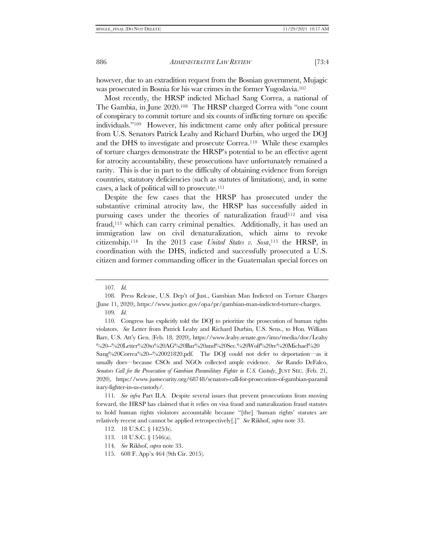however, due to an extradition request from the Bosnian government, Mujagic was prosecuted in Bosnia for his war crimes in the former Yugoslavia.<sup>107</sup>

Most recently, the HRSP indicted Michael Sang Correa, a national of The Gambia, in June 2020.<sup>108</sup> The HRSP charged Correa with "one count of conspiracy to commit torture and six counts of inflicting torture on specific individuals."<sup>109</sup> However, his indictment came only after political pressure from U.S. Senators Patrick Leahy and Richard Durbin, who urged the DOJ and the DHS to investigate and prosecute Correa.110 While these examples of torture charges demonstrate the HRSP's potential to be an effective agent for atrocity accountability, these prosecutions have unfortunately remained a rarity. This is due in part to the difficulty of obtaining evidence from foreign countries, statutory deficiencies (such as statutes of limitations), and, in some cases, a lack of political will to prosecute.<sup>111</sup>

Despite the few cases that the HRSP has prosecuted under the substantive criminal atrocity law, the HRSP has successfully aided in pursuing cases under the theories of naturalization fraud<sup>112</sup> and visa fraud,<sup>113</sup> which can carry criminal penalties. Additionally, it has used an immigration law on civil denaturalization, which aims to revoke citizenship. <sup>114</sup> In the 2013 case *United States v. Sosa*, <sup>115</sup> the HRSP, in coordination with the DHS, indicted and successfully prosecuted a U.S. citizen and former commanding officer in the Guatemalan special forces on

*Senators Call for the Prosecution of Gambian Paramilitary Fighter in U.S. Custody*, JUST SEC. (Feb. 21, 2020), https://www.justsecurity.org/68748/senators-call-for-prosecution-of-gambian-paramil itary-fighter-in-us-custody/.

111*. See infra* Part [II](#page-19-0)[.A.](#page-19-1) Despite several issues that prevent prosecutions from moving forward, the HRSP has claimed that it relies on visa fraud and naturalization fraud statutes to hold human rights violators accountable because "[the] 'human rights' statutes are relatively recent and cannot be applied retrospectively[.]" *See* Rikhof, *supra* not[e 33.](#page-7-2)

<sup>107</sup>*. Id.*

<sup>108.</sup> Press Release, U.S. Dep't of Just., Gambian Man Indicted on Torture Charges (June 11, 2020), https://www.justice.gov/opa/pr/gambian-man-indicted-torture-charges. 109*. Id.*

<sup>110.</sup> Congress has explicitly told the DOJ to prioritize the prosecution of human rights violators. *See* Letter from Patrick Leahy and Richard Durbin, U.S. Sens., to Hon. William Barr, U.S. Att'y Gen. (Feb. 18, 2020), https://www.leahy.senate.gov/imo/media/doc/Leahy %20--%20Letter%20to%20AG%20Bar%20and%20Sec.%20Wolf%20re%20Michael%20 Sang%20Correa%20--%20021820.pdf. The DOJ could not defer to deportation—as it usually does—because CSOs and NGOs collected ample evidence. *See* Rando DeFalco,

<sup>112.</sup> 18 U.S.C. § 1425(b).

<sup>113.</sup> 18 U.S.C. § 1546(a).

<sup>114</sup>*. See* Rikhof, *supra* note [33.](#page-7-2)

<sup>115.</sup> 608 F. App'x 464 (9th Cir. 2015).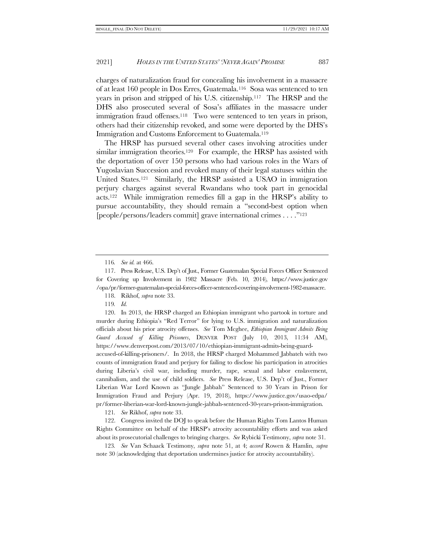charges of naturalization fraud for concealing his involvement in a massacre of at least 160 people in Dos Erres, Guatemala.116 Sosa was sentenced to ten years in prison and stripped of his U.S. citizenship.117 The HRSP and the DHS also prosecuted several of Sosa's affiliates in the massacre under immigration fraud offenses.118 Two were sentenced to ten years in prison, others had their citizenship revoked, and some were deported by the DHS's Immigration and Customs Enforcement to Guatemala.<sup>119</sup>

The HRSP has pursued several other cases involving atrocities under similar immigration theories.<sup>120</sup> For example, the HRSP has assisted with the deportation of over 150 persons who had various roles in the Wars of Yugoslavian Succession and revoked many of their legal statuses within the United States.121 Similarly, the HRSP assisted a USAO in immigration perjury charges against several Rwandans who took part in genocidal acts.122 While immigration remedies fill a gap in the HRSP's ability to pursue accountability, they should remain a "second-best option when [people/persons/leaders commit] grave international crimes . . . ."<sup>123</sup>

119*. Id.*

120. In 2013, the HRSP charged an Ethiopian immigrant who partook in torture and murder during Ethiopia's "Red Terror" for lying to U.S. immigration and naturalization officials about his prior atrocity offenses. *See* Tom Mcghee, *Ethiopian Immigrant Admits Being Guard Accused of Killing Prisoners*, DENVER POST (July 10, 2013, 11:34 AM), https://www.denverpost.com/2013/07/10/ethiopian-immigrant-admits-being-guard-

accused-of-killing-prisoners/. In 2018, the HRSP charged Mohammed Jabbateh with two counts of immigration fraud and perjury for failing to disclose his participation in atrocities during Liberia's civil war, including murder, rape, sexual and labor enslavement, cannibalism, and the use of child soldiers. *See* Press Release, U.S. Dep't of Just., Former Liberian War Lord Known as "Jungle Jabbah" Sentenced to 30 Years in Prison for Immigration Fraud and Perjury (Apr. 19, 2018), https://www.justice.gov/usao-edpa/ pr/former-liberian-war-lord-known-jungle-jabbah-sentenced-30-years-prison-immigration.

121*. See* Rikhof, *supra* note [33.](#page-7-2)

122. Congress invited the DOJ to speak before the Human Rights Tom Lantos Human Rights Committee on behalf of the HRSP's atrocity accountability efforts and was asked about its prosecutorial challenges to bringing charges. *See* Rybicki Testimony, *supra* not[e 31.](#page-7-1)

123*. See* Van Schaack Testimony, *supra* note [51,](#page-10-0) at 4; *accord* Rowen & Hamlin, *supra*  not[e 30](#page-7-0) (acknowledging that deportation undermines justice for atrocity accountability).

<sup>116</sup>*. See id.* at 466.

<sup>117.</sup> Press Release, U.S. Dep't of Just., Former Guatemalan Special Forces Officer Sentenced for Covering up Involvement in 1982 Massacre (Feb. 10, 2014), https://www.justice.gov /opa/pr/former-guatemalan-special-forces-officer-sentenced-covering-involvement-1982-massacre.

<sup>118.</sup> Rikhof, *supra* not[e 33.](#page-7-2)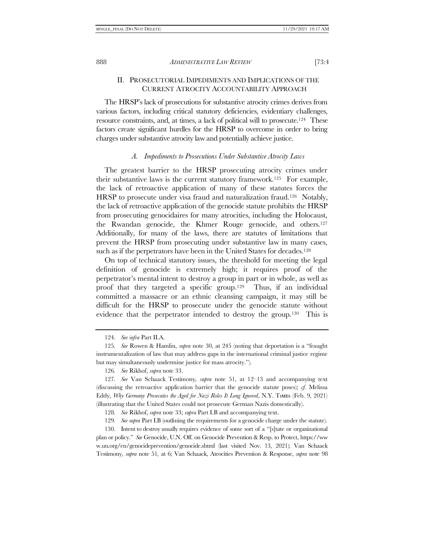# <span id="page-19-0"></span>II. PROSECUTORIAL IMPEDIMENTS AND IMPLICATIONS OF THE CURRENT ATROCITY ACCOUNTABILITY APPROACH

The HRSP's lack of prosecutions for substantive atrocity crimes derives from various factors, including critical statutory deficiencies, evidentiary challenges, resource constraints, and, at times, a lack of political will to prosecute.124 These factors create significant hurdles for the HRSP to overcome in order to bring charges under substantive atrocity law and potentially achieve justice.

#### *A. Impediments to Prosecutions Under Substantive Atrocity Laws*

<span id="page-19-1"></span>The greatest barrier to the HRSP prosecuting atrocity crimes under their substantive laws is the current statutory framework.125 For example, the lack of retroactive application of many of these statutes forces the HRSP to prosecute under visa fraud and naturalization fraud.<sup>126</sup> Notably, the lack of retroactive application of the genocide statute prohibits the HRSP from prosecuting genocidaires for many atrocities, including the Holocaust, the Rwandan genocide, the Khmer Rouge genocide, and others.<sup>127</sup> Additionally, for many of the laws, there are statutes of limitations that prevent the HRSP from prosecuting under substantive law in many cases, such as if the perpetrators have been in the United States for decades.<sup>128</sup>

On top of technical statutory issues, the threshold for meeting the legal definition of genocide is extremely high; it requires proof of the perpetrator's mental intent to destroy a group in part or in whole, as well as proof that they targeted a specific group.<sup>129</sup> Thus, if an individual committed a massacre or an ethnic cleansing campaign, it may still be difficult for the HRSP to prosecute under the genocide statute without evidence that the perpetrator intended to destroy the group.130 This is

126*. See* Rikhof, *supra* note [33.](#page-7-2)

129*. See supra* Par[t I](#page-6-3)[.B](#page-9-1) (outlining the requirements for a genocide charge under the statute).

130. Intent to destroy usually requires evidence of some sort of a "[s]tate or organizational plan or policy." *See* Genocide, U.N. Off. on Genocide Prevention & Resp. to Protect, https://ww w.un.org/en/genocideprevention/genocide.shtml (last visited Nov. 13, 2021); Van Schaack Testimony, *supra* note [51,](#page-10-0) at 6; Van Schaack, Atrocities Prevention & Response, *supra* note [98](#page-15-0)

<sup>124</sup>*. See infra* Part [II.](#page-19-0)[A.](#page-19-1)

<sup>125</sup>*. See* Rowen & Hamlin, *supra* not[e 30,](#page-7-0) at 245 (noting that deportation is a "fraught instrumentalization of law that may address gaps in the international criminal justice regime but may simultaneously undermine justice for mass atrocity.").

<sup>127</sup>*. See* Van Schaack Testimony*, supra* note [51,](#page-10-0) at 12–13 and accompanying text (discussing the retroactive application barrier that the genocide statute poses); *cf.* Melissa Eddy, Why Germany Prosecutes the Aged for Nazi Roles It Long Ignored, N.Y. TIMES (Feb. 9, 2021) (illustrating that the United States could not prosecute German Nazis domestically).

<sup>128</sup>*. See* Rikhof, *supra* note [33;](#page-7-2) *supra* Par[t I](#page-6-3)[.B](#page-9-1) and accompanying text.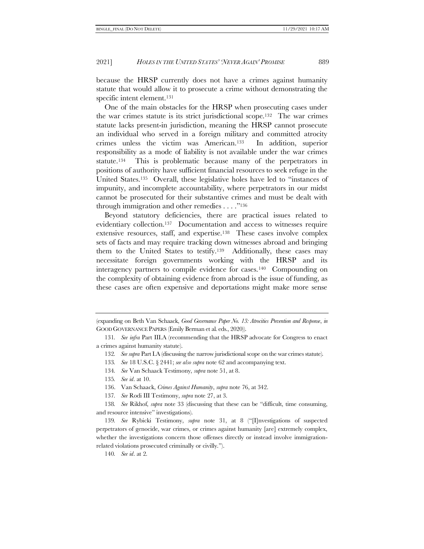because the HRSP currently does not have a crimes against humanity statute that would allow it to prosecute a crime without demonstrating the specific intent element.<sup>131</sup>

One of the main obstacles for the HRSP when prosecuting cases under the war crimes statute is its strict jurisdictional scope.132 The war crimes statute lacks present-in jurisdiction, meaning the HRSP cannot prosecute an individual who served in a foreign military and committed atrocity crimes unless the victim was American.133 In addition, superior responsibility as a mode of liability is not available under the war crimes statute.134 This is problematic because many of the perpetrators in positions of authority have sufficient financial resources to seek refuge in the United States.135 Overall, these legislative holes have led to "instances of impunity, and incomplete accountability, where perpetrators in our midst cannot be prosecuted for their substantive crimes and must be dealt with through immigration and other remedies . . . ."<sup>136</sup>

<span id="page-20-0"></span>Beyond statutory deficiencies, there are practical issues related to evidentiary collection.137 Documentation and access to witnesses require extensive resources, staff, and expertise.138 These cases involve complex sets of facts and may require tracking down witnesses abroad and bringing them to the United States to testify.139 Additionally, these cases may necessitate foreign governments working with the HRSP and its interagency partners to compile evidence for cases.140 Compounding on the complexity of obtaining evidence from abroad is the issue of funding, as these cases are often expensive and deportations might make more sense

- 133*. See* 18 U.S.C. § 2441; *see also supra* not[e 62](#page-11-0) and accompanying text.
- 134*. See* Van Schaack Testimony, *supra* note [51,](#page-10-0) at 8.
- 135*. See id*. at 10.
- 136. Van Schaack, *Crimes Against Humanity*, *supra* not[e 76,](#page-12-0) at 342.
- 137*. See* Rodi III Testimony, *supra* note [27,](#page-6-2) at 3.

138*. See* Rikhof, *supra* note [33](#page-7-2) (discussing that these can be "difficult, time consuming, and resource intensive" investigations).

139*. See* Rybicki Testimony, *supra* note [31](#page-7-1), at 8 ("[I]nvestigations of suspected perpetrators of genocide, war crimes, or crimes against humanity [are] extremely complex, whether the investigations concern those offenses directly or instead involve immigrationrelated violations prosecuted criminally or civilly.").

140*. See id*. at 2.

<sup>(</sup>expanding on Beth Van Schaack, *Good Governance Paper No. 13: Atrocities Prevention and Response*, *in*  GOOD GOVERNANCE PAPERS (Emily Berman et al. eds., 2020)).

<sup>131</sup>*. See infra* Part [III](#page-24-0)[.A](#page-25-0) (recommending that the HRSP advocate for Congress to enact a crimes against humanity statute).

<sup>132</sup>*. See supra* Par[t I](#page-6-3)[.A](#page-7-3) (discussing the narrow jurisdictional scope on the war crimes statute).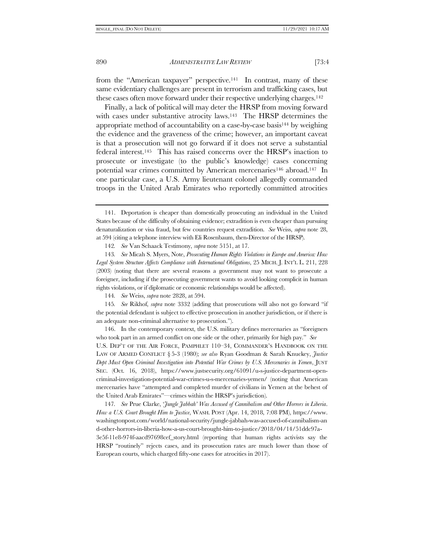from the "American taxpayer" perspective.141 In contrast, many of these same evidentiary challenges are present in terrorism and trafficking cases, but these cases often move forward under their respective underlying charges.<sup>142</sup>

<span id="page-21-0"></span>Finally, a lack of political will may deter the HRSP from moving forward with cases under substantive atrocity laws.<sup>143</sup> The HRSP determines the appropriate method of accountability on a case-by-case basis<sup>144</sup> by weighing the evidence and the graveness of the crime; however, an important caveat is that a prosecution will not go forward if it does not serve a substantial federal interest.145 This has raised concerns over the HRSP's inaction to prosecute or investigate (to the public's knowledge) cases concerning potential war crimes committed by American mercenaries<sup>146</sup> abroad.<sup>147</sup> In one particular case, a U.S. Army lieutenant colonel allegedly commanded troops in the United Arab Emirates who reportedly committed atrocities

144*. See* Weiss, *supra* note [2828,](#page-6-1) at 594.

145*. See* Rikhof, *supra* note [33](#page-7-2)[32](#page-7-4) (adding that prosecutions will also not go forward "if the potential defendant is subject to effective prosecution in another jurisdiction, or if there is an adequate non-criminal alternative to prosecution.").

146. In the contemporary context, the U.S. military defines mercenaries as "foreigners who took part in an armed conflict on one side or the other, primarily for high pay." *See* U.S. DEP'T OF THE AIR FORCE, PAMPHLET 110–34, COMMANDER'S HANDBOOK ON THE LAW OF ARMED CONFLICT § 5-3 (1980); *see also* Ryan Goodman & Sarah Knuckey, *Justice Dept Must Open Criminal Investigation into Potential War Crimes by U.S. Mercenaries in Yemen*, JUST SEC. (Oct. 16, 2018), https://www.justsecurity.org/61091/u-s-justice-department-opencriminal-investigation-potential-war-crimes-u-s-mercenaries-yemen/ (noting that American mercenaries have "attempted and completed murder of civilians in Yemen at the behest of the United Arab Emirates"—crimes within the HRSP's jurisdiction).

147*. See* Prue Clarke, '*Jungle Jabbah' Was Accused of Cannibalism and Other Horrors in Liberia*. *How a U.S. Court Brought Him to Justice*, WASH. POST (Apr. 14, 2018, 7:08 PM), https://www. washingtonpost.com/world/national-security/jungle-jabbah-was-accused-of-cannibalism-an d-other-horrors-in-liberia-how-a-us-court-brought-him-to-justice/2018/04/14/51ddc97a-3e5f-11e8-974f-aacd97698cef\_story.html (reporting that human rights activists say the HRSP "routinely" rejects cases, and its prosecution rates are much lower than those of European courts, which charged fifty-one cases for atrocities in 2017).

<span id="page-21-1"></span><sup>141.</sup> Deportation is cheaper than domestically prosecuting an individual in the United States because of the difficulty of obtaining evidence; extradition is even cheaper than pursuing denaturalization or visa fraud, but few countries request extradition. *See* Weiss, *supra* note [28,](#page-6-1) at 594 (citing a telephone interview with Eli Rosenbaum, then-Director of the HRSP).

<sup>142</sup>*. See* Van Schaack Testimony, *supra* note [5151,](#page-10-0) at 17.

<sup>143</sup>*. See* Micah S. Myers, Note, *Prosecuting Human Rights Violations in Europe and America: How Legal System Structure Affects Compliance with International Obligations*, 25 MICH. J. INT'L L. 211, 228 (2003) (noting that there are several reasons a government may not want to prosecute a foreigner, including if the prosecuting government wants to avoid looking complicit in human rights violations, or if diplomatic or economic relationships would be affected).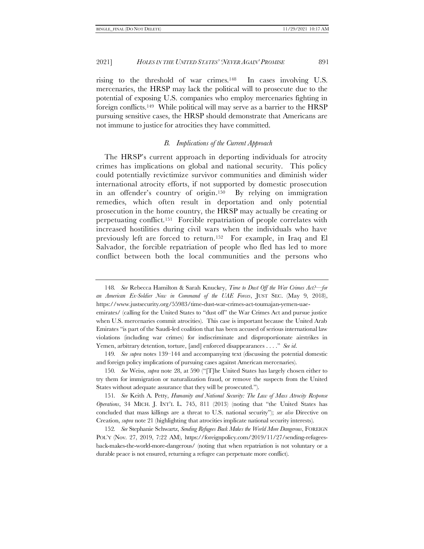rising to the threshold of war crimes.148 In cases involving U.S. mercenaries, the HRSP may lack the political will to prosecute due to the potential of exposing U.S. companies who employ mercenaries fighting in foreign conflicts.149 While political will may serve as a barrier to the HRSP pursuing sensitive cases, the HRSP should demonstrate that Americans are not immune to justice for atrocities they have committed.

## <span id="page-22-1"></span>*B. Implications of the Current Approach*

<span id="page-22-0"></span>The HRSP's current approach in deporting individuals for atrocity crimes has implications on global and national security. This policy could potentially revictimize survivor communities and diminish wider international atrocity efforts, if not supported by domestic prosecution in an offender's country of origin. <sup>150</sup> By relying on immigration remedies, which often result in deportation and only potential prosecution in the home country, the HRSP may actually be creating or perpetuating conflict.151 Forcible repatriation of people correlates with increased hostilities during civil wars when the individuals who have previously left are forced to return.152 For example, in Iraq and El Salvador, the forcible repatriation of people who fled has led to more conflict between both the local communities and the persons who

<sup>148</sup>*. See* Rebecca Hamilton & Sarah Knuckey, *Time to Dust Off the War Crimes Act?—for an American Ex-Soldier Now in Command of the UAE Forces*, JUST SEC. (May 9, 2018), https://www.justsecurity.org/55983/time-dust-war-crimes-act-toumajan-yemen-uae-

emirates/ (calling for the United States to "dust off" the War Crimes Act and pursue justice when U.S. mercenaries commit atrocities). This case is important because the United Arab Emirates "is part of the Saudi-led coalition that has been accused of serious international law violations (including war crimes) for indiscriminate and disproportionate airstrikes in Yemen, arbitrary detention, torture, [and] enforced disappearances . . . ." *See id*.

<sup>149</sup>*. See supra* notes [139](#page-20-0)–[144](#page-21-0) and accompanying text (discussing the potential domestic and foreign policy implications of pursuing cases against American mercenaries).

<sup>150</sup>*. See* Weiss, *supra* note [28](#page-6-1), at 590 ("[T]he United States has largely chosen either to try them for immigration or naturalization fraud, or remove the suspects from the United States without adequate assurance that they will be prosecuted.").

<sup>151</sup>*. See* Keith A. Petty, *Humanity and National Security: The Law of Mass Atrocity Response Operations*, 34 MICH. J. INT'L L. 745, 811 (2013) (noting that "the United States has concluded that mass killings are a threat to U.S. national security"); *see also* Directive on Creation, *supra* not[e 21](#page-4-1) (highlighting that atrocities implicate national security interests).

<sup>152</sup>*. See* Stephanie Schwartz, *Sending Refugees Back Makes the World More Dangerous*, FOREIGN POL'Y (Nov. 27, 2019, 7:22 AM), https://foreignpolicy.com/2019/11/27/sending-refugeesback-makes-the-world-more-dangerous/ (noting that when repatriation is not voluntary or a durable peace is not ensured, returning a refugee can perpetuate more conflict).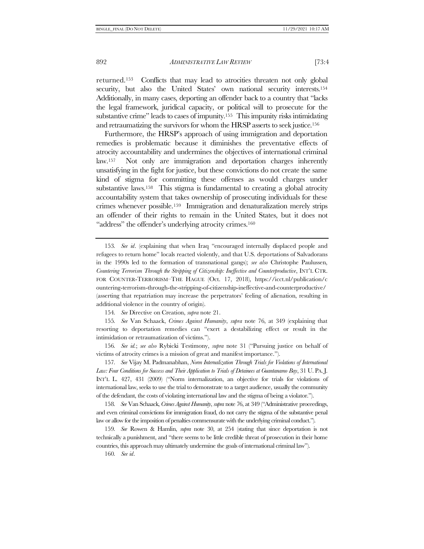returned.153 Conflicts that may lead to atrocities threaten not only global security, but also the United States' own national security interests.<sup>154</sup> Additionally, in many cases, deporting an offender back to a country that "lacks the legal framework, juridical capacity, or political will to prosecute for the substantive crime" leads to cases of impunity.155 This impunity risks intimidating and retraumatizing the survivors for whom the HRSP asserts to seek justice.<sup>156</sup>

Furthermore, the HRSP's approach of using immigration and deportation remedies is problematic because it diminishes the preventative effects of atrocity accountability and undermines the objectives of international criminal law.157 Not only are immigration and deportation charges inherently unsatisfying in the fight for justice, but these convictions do not create the same kind of stigma for committing these offenses as would charges under substantive laws.<sup>158</sup> This stigma is fundamental to creating a global atrocity accountability system that takes ownership of prosecuting individuals for these crimes whenever possible.159 Immigration and denaturalization merely strips an offender of their rights to remain in the United States, but it does not "address" the offender's underlying atrocity crimes.<sup>160</sup>

153*. See id*. (explaining that when Iraq "encouraged internally displaced people and refugees to return home" locals reacted violently, and that U.S. deportations of Salvadorans in the 1990s led to the formation of transnational gangs); *see also* Christophe Paulussen, *Countering Terrorism Through the Stripping of Citizenship: Ineffective and Counterproductive*, INT'L CTR. FOR COUNTER-TERRORISM–THE HAGUE (Oct. 17, 2018), https://icct.nl/publication/c ountering-terrorism-through-the-stripping-of-citizenship-ineffective-and-counterproductive/ (asserting that repatriation may increase the perpetrators' feeling of alienation, resulting in additional violence in the country of origin).

154*. See* Directive on Creation, *supra* not[e 21.](#page-4-1)

155*. See* Van Schaack, *Crimes Against Humanity*, *supra* note [76,](#page-12-0) at 349 (explaining that resorting to deportation remedies can "exert a destabilizing effect or result in the intimidation or retraumatization of victims.").

156*. See id.*; *see also* Rybicki Testimony, *supra* note [31](#page-7-1) ("Pursuing justice on behalf of victims of atrocity crimes is a mission of great and manifest importance.").

157*. See* Vijay M. Padmanabhan, *Norm Internalization Through Trials for Violations of International Law: Four Conditions for Success and Their Application to Trials of Detainees at Guantanamo Bay*, 31 U. PA.J. INT'L L. 427, 431 (2009) ("Norm internalization, an objective for trials for violations of international law, seeks to use the trial to demonstrate to a target audience, usually the community of the defendant, the costs of violating international law and the stigma of being a violator.").

158*. See* Van Schaack, *Crimes Against Humanity*, *supra* not[e 76](#page-12-0), at 349 ("Administrative proceedings, and even criminal convictions for immigration fraud, do not carry the stigma of the substantive penal law or allow for the imposition of penalties commensurate with the underlying criminal conduct.").

159*. See* Rowen & Hamlin, *supra* note [30,](#page-7-0) at 254 (stating that since deportation is not technically a punishment, and "there seems to be little credible threat of prosecution in their home countries, this approach may ultimately undermine the goals of international criminal law").

160*. See id*.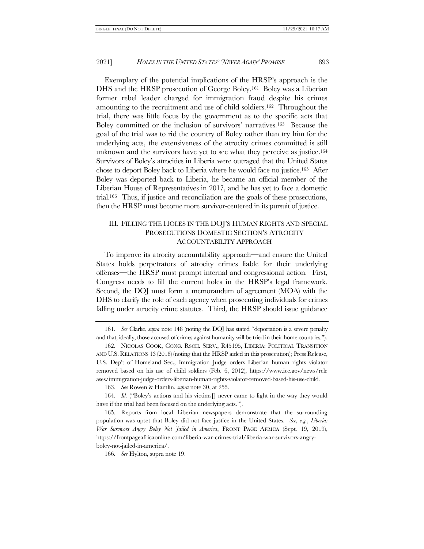Exemplary of the potential implications of the HRSP's approach is the DHS and the HRSP prosecution of George Boley.161 Boley was a Liberian former rebel leader charged for immigration fraud despite his crimes amounting to the recruitment and use of child soldiers.162 Throughout the trial, there was little focus by the government as to the specific acts that Boley committed or the inclusion of survivors' narratives.163 Because the goal of the trial was to rid the country of Boley rather than try him for the underlying acts, the extensiveness of the atrocity crimes committed is still unknown and the survivors have yet to see what they perceive as justice.<sup>164</sup> Survivors of Boley's atrocities in Liberia were outraged that the United States chose to deport Boley back to Liberia where he would face no justice.165 After Boley was deported back to Liberia, he became an official member of the Liberian House of Representatives in 2017, and he has yet to face a domestic trial.166 Thus, if justice and reconciliation are the goals of these prosecutions, then the HRSP must become more survivor-centered in its pursuit of justice.

# <span id="page-24-0"></span>III. FILLING THE HOLES IN THE DOJ'S HUMAN RIGHTS AND SPECIAL PROSECUTIONS DOMESTIC SECTION'S ATROCITY ACCOUNTABILITY APPROACH

To improve its atrocity accountability approach—and ensure the United States holds perpetrators of atrocity crimes liable for their underlying offenses—the HRSP must prompt internal and congressional action. First, Congress needs to fill the current holes in the HRSP's legal framework. Second, the DOJ must form a memorandum of agreement (MOA) with the DHS to clarify the role of each agency when prosecuting individuals for crimes falling under atrocity crime statutes. Third, the HRSP should issue guidance

163*. See* Rowen & Hamlin, *supra* not[e 30,](#page-7-0) at 255.

164*. Id.* ("Boley's actions and his victims[] never came to light in the way they would have if the trial had been focused on the underlying acts.").

165. Reports from local Liberian newspapers demonstrate that the surrounding population was upset that Boley did not face justice in the United States. *See, e.g.*, *Liberia: War Survivors Angry Boley Not Jailed in America*, FRONT PAGE AFRICA (Sept. 19, 2019), https://frontpageafricaonline.com/liberia-war-crimes-trial/liberia-war-survivors-angryboley-not-jailed-in-america/.

166*. See* Hylton, supra not[e 19.](#page-4-0)

<sup>161</sup>*. See* Clarke, *supra* not[e 148](#page-22-1) (noting the DOJ has stated "deportation is a severe penalty and that, ideally, those accused of crimes against humanity will be tried in their home countries.").

<sup>162.</sup> NICOLAS COOK, CONG. RSCH. SERV., R45195, LIBERIA: POLITICAL TRANSITION AND U.S. RELATIONS 13 (2018) (noting that the HRSP aided in this prosecution); Press Release, U.S. Dep't of Homeland Sec., Immigration Judge orders Liberian human rights violator removed based on his use of child soldiers (Feb. 6, 2012), https://www.ice.gov/news/rele ases/immigration-judge-orders-liberian-human-rights-violator-removed-based-his-use-child.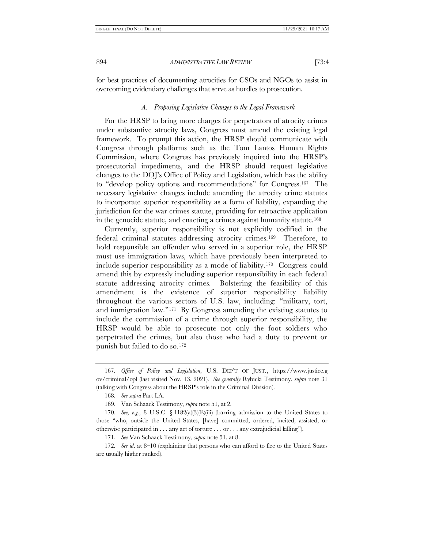<span id="page-25-0"></span>for best practices of documenting atrocities for CSOs and NGOs to assist in overcoming evidentiary challenges that serve as hurdles to prosecution.

# *A. Proposing Legislative Changes to the Legal Framework*

For the HRSP to bring more charges for perpetrators of atrocity crimes under substantive atrocity laws, Congress must amend the existing legal framework. To prompt this action, the HRSP should communicate with Congress through platforms such as the Tom Lantos Human Rights Commission, where Congress has previously inquired into the HRSP's prosecutorial impediments, and the HRSP should request legislative changes to the DOJ's Office of Policy and Legislation, which has the ability to "develop policy options and recommendations" for Congress.167 The necessary legislative changes include amending the atrocity crime statutes to incorporate superior responsibility as a form of liability, expanding the jurisdiction for the war crimes statute, providing for retroactive application in the genocide statute, and enacting a crimes against humanity statute.<sup>168</sup>

Currently, superior responsibility is not explicitly codified in the federal criminal statutes addressing atrocity crimes.169 Therefore, to hold responsible an offender who served in a superior role, the HRSP must use immigration laws, which have previously been interpreted to include superior responsibility as a mode of liability.170 Congress could amend this by expressly including superior responsibility in each federal statute addressing atrocity crimes. Bolstering the feasibility of this amendment is the existence of superior responsibility liability throughout the various sectors of U.S. law, including: "military, tort, and immigration law."171 By Congress amending the existing statutes to include the commission of a crime through superior responsibility, the HRSP would be able to prosecute not only the foot soldiers who perpetrated the crimes, but also those who had a duty to prevent or punish but failed to do so.<sup>172</sup>

172*. See id*. at 8–10 (explaining that persons who can afford to flee to the United States are usually higher ranked).

<sup>167</sup>*. Office of Policy and Legislation*, U.S. DEP'T OF JUST., https://www.justice.g ov/criminal/opl (last visited Nov. 13, 2021). *See generally* Rybicki Testimony, *supra* note [31](#page-7-1) (talking with Congress about the HRSP's role in the Criminal Division).

<sup>168</sup>*. See supra* Par[t I](#page-6-3)[.A.](#page-7-3)

<sup>169.</sup> Van Schaack Testimony, *supra* not[e 51,](#page-10-0) at 2.

<sup>170</sup>*. See, e.g.*, 8 U.S.C. § 1182(a)(3)(E)(iii) (barring admission to the United States to those "who, outside the United States, [have] committed, ordered, incited, assisted, or otherwise participated in . . . any act of torture . . . or . . . any extrajudicial killing").

<sup>171</sup>*. See* Van Schaack Testimony, *supra* note [51,](#page-10-0) at 8.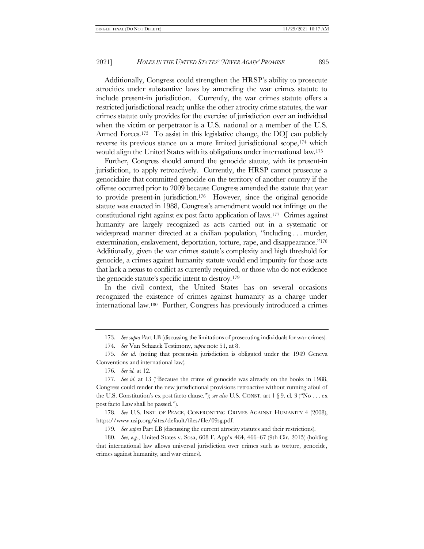Additionally, Congress could strengthen the HRSP's ability to prosecute atrocities under substantive laws by amending the war crimes statute to include present-in jurisdiction. Currently, the war crimes statute offers a restricted jurisdictional reach; unlike the other atrocity crime statutes, the war crimes statute only provides for the exercise of jurisdiction over an individual when the victim or perpetrator is a U.S. national or a member of the U.S. Armed Forces.<sup>173</sup> To assist in this legislative change, the DOJ can publicly reverse its previous stance on a more limited jurisdictional scope,<sup>174</sup> which would align the United States with its obligations under international law.<sup>175</sup>

Further, Congress should amend the genocide statute, with its present-in jurisdiction, to apply retroactively. Currently, the HRSP cannot prosecute a genocidaire that committed genocide on the territory of another country if the offense occurred prior to 2009 because Congress amended the statute that year to provide present-in jurisdiction.176 However, since the original genocide statute was enacted in 1988, Congress's amendment would not infringe on the constitutional right against ex post facto application of laws.177 Crimes against humanity are largely recognized as acts carried out in a systematic or widespread manner directed at a civilian population, "including . . . murder, extermination, enslavement, deportation, torture, rape, and disappearance."<sup>178</sup> Additionally, given the war crimes statute's complexity and high threshold for genocide, a crimes against humanity statute would end impunity for those acts that lack a nexus to conflict as currently required, or those who do not evidence the genocide statute's specific intent to destroy.<sup>179</sup>

In the civil context, the United States has on several occasions recognized the existence of crimes against humanity as a charge under international law.180 Further, Congress has previously introduced a crimes

178*. See* U.S. INST. OF PEACE, CONFRONTING CRIMES AGAINST HUMANITY 4 (2008), https://www.usip.org/sites/default/files/file/09sg.pdf.

179*. See supra* Par[t I](#page-6-3)[.B](#page-9-1) (discussing the current atrocity statutes and their restrictions).

180*. See, e.g.*, United States v. Sosa, 608 F. App'x 464, 466–67 (9th Cir. 2015) (holding that international law allows universal jurisdiction over crimes such as torture, genocide, crimes against humanity, and war crimes).

<sup>173</sup>*. See supra* Par[t I](#page-6-3)[.B](#page-9-1) (discussing the limitations of prosecuting individuals for war crimes).

<sup>174</sup>*. See* Van Schaack Testimony, *supra* note [51,](#page-10-0) at 8.

<sup>175</sup>*. See id*. (noting that present-in jurisdiction is obligated under the 1949 Geneva Conventions and international law).

<sup>176</sup>*. See id.* at 12.

<sup>177</sup>*. See id*. at 13 ("Because the crime of genocide was already on the books in 1988, Congress could render the new jurisdictional provisions retroactive without running afoul of the U.S. Constitution's ex post facto clause."); *see also* U.S. CONST. art 1 § 9. cl. 3 ("No . . . ex post facto Law shall be passed.").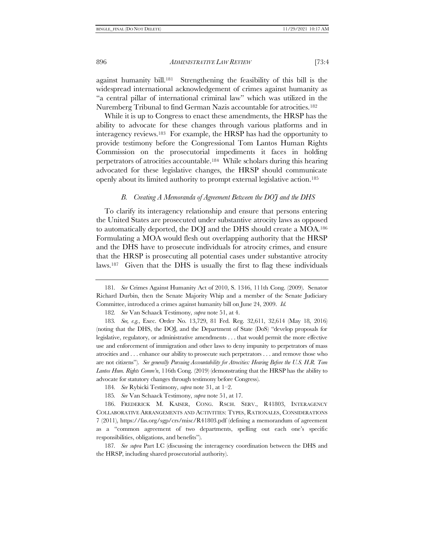against humanity bill.181 Strengthening the feasibility of this bill is the widespread international acknowledgement of crimes against humanity as "a central pillar of international criminal law" which was utilized in the Nuremberg Tribunal to find German Nazis accountable for atrocities.<sup>182</sup>

While it is up to Congress to enact these amendments, the HRSP has the ability to advocate for these changes through various platforms and in interagency reviews.183 For example, the HRSP has had the opportunity to provide testimony before the Congressional Tom Lantos Human Rights Commission on the prosecutorial impediments it faces in holding perpetrators of atrocities accountable.184 While scholars during this hearing advocated for these legislative changes, the HRSP should communicate openly about its limited authority to prompt external legislative action.<sup>185</sup>

#### *B. Creating A Memoranda of Agreement Between the DOJ and the DHS*

To clarify its interagency relationship and ensure that persons entering the United States are prosecuted under substantive atrocity laws as opposed to automatically deported, the DOJ and the DHS should create a MOA.<sup>186</sup> Formulating a MOA would flesh out overlapping authority that the HRSP and the DHS have to prosecute individuals for atrocity crimes, and ensure that the HRSP is prosecuting all potential cases under substantive atrocity laws.187 Given that the DHS is usually the first to flag these individuals

187*. See supra* Part [I.](#page-6-3)[C](#page-13-1) (discussing the interagency coordination between the DHS and the HRSP, including shared prosecutorial authority).

<sup>181</sup>*. See* Crimes Against Humanity Act of 2010, S. 1346, 111th Cong. (2009). Senator Richard Durbin, then the Senate Majority Whip and a member of the Senate Judiciary Committee, introduced a crimes against humanity bill on June 24, 2009. *Id.*

<sup>182</sup>*. See* Van Schaack Testimony, *supra* note [51,](#page-10-0) at 4.

<sup>183</sup>*. See, e.g.*, Exec. Order No. 13,729, 81 Fed. Reg. 32,611, 32,614 (May 18, 2016) (noting that the DHS, the DOJ, and the Department of State (DoS) "develop proposals for legislative, regulatory, or administrative amendments . . . that would permit the more effective use and enforcement of immigration and other laws to deny impunity to perpetrators of mass atrocities and . . . enhance our ability to prosecute such perpetrators . . . and remove those who are not citizens"). *See generally Pursuing Accountability for Atrocities: Hearing Before the U.S. H.R. Tom Lantos Hum. Rights Comm'n*, 116th Cong. (2019) (demonstrating that the HRSP has the ability to advocate for statutory changes through testimony before Congress).

<sup>184</sup>*. See* Rybicki Testimony, *supra* note [31,](#page-7-1) at 1–2.

<sup>185</sup>*. See* Van Schaack Testimony, *supra* note [51,](#page-10-0) at 17.

<sup>186.</sup> FREDERICK M. KAISER, CONG. RSCH. SERV., R41803, INTERAGENCY COLLABORATIVE ARRANGEMENTS AND ACTIVITIES: TYPES, RATIONALES, CONSIDERATIONS 7 (2011), https://fas.org/sgp/crs/misc/R41803.pdf (defining a memorandum of agreement as a "common agreement of two departments, spelling out each one's specific responsibilities, obligations, and benefits").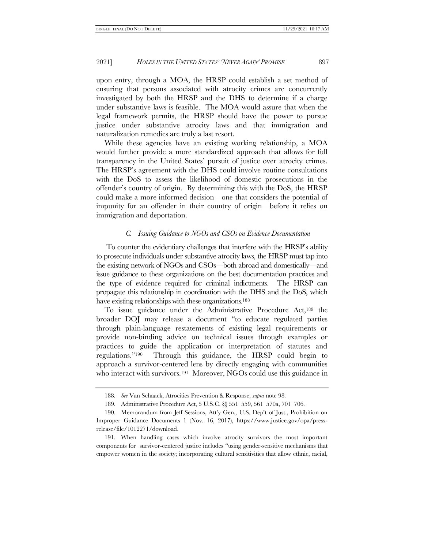upon entry, through a MOA, the HRSP could establish a set method of ensuring that persons associated with atrocity crimes are concurrently investigated by both the HRSP and the DHS to determine if a charge under substantive laws is feasible. The MOA would assure that when the legal framework permits, the HRSP should have the power to pursue justice under substantive atrocity laws and that immigration and naturalization remedies are truly a last resort.

While these agencies have an existing working relationship, a MOA would further provide a more standardized approach that allows for full transparency in the United States' pursuit of justice over atrocity crimes. The HRSP's agreement with the DHS could involve routine consultations with the DoS to assess the likelihood of domestic prosecutions in the offender's country of origin. By determining this with the DoS, the HRSP could make a more informed decision—one that considers the potential of impunity for an offender in their country of origin—before it relies on immigration and deportation.

## *C. Issuing Guidance to NGOs and CSOs on Evidence Documentation*

<span id="page-28-0"></span>To counter the evidentiary challenges that interfere with the HRSP's ability to prosecute individuals under substantive atrocity laws, the HRSP must tap into the existing network of NGOs and CSOs—both abroad and domestically—and issue guidance to these organizations on the best documentation practices and the type of evidence required for criminal indictments. The HRSP can propagate this relationship in coordination with the DHS and the DoS, which have existing relationships with these organizations.<sup>188</sup>

To issue guidance under the Administrative Procedure Act,<sup>189</sup> the broader DOJ may release a document "to educate regulated parties through plain-language restatements of existing legal requirements or provide non-binding advice on technical issues through examples or practices to guide the application or interpretation of statutes and regulations."190 Through this guidance, the HRSP could begin to approach a survivor-centered lens by directly engaging with communities who interact with survivors.<sup>191</sup> Moreover, NGOs could use this guidance in

<sup>188</sup>*. See* Van Schaack, Atrocities Prevention & Response, *supra* not[e 98.](#page-15-0)

<sup>189.</sup> Administrative Procedure Act, 5 U.S.C. §§ 551–559, 561–570a, 701–706.

<sup>190.</sup> Memorandum from Jeff Sessions, Att'y Gen., U.S. Dep't of Just., Prohibition on Improper Guidance Documents 1 (Nov. 16, 2017), https://www.justice.gov/opa/pressrelease/file/1012271/download.

<sup>191.</sup> When handling cases which involve atrocity survivors the most important components for survivor-centered justice includes "using gender-sensitive mechanisms that empower women in the society; incorporating cultural sensitivities that allow ethnic, racial,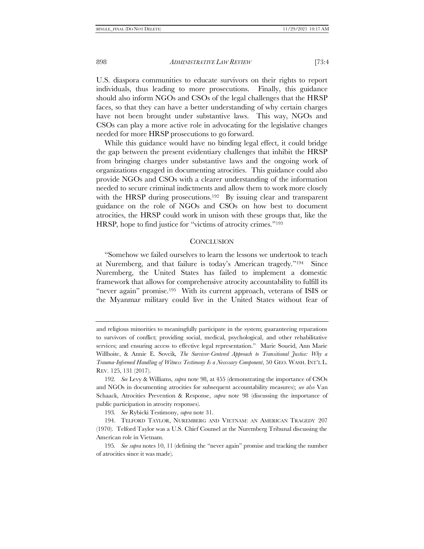U.S. diaspora communities to educate survivors on their rights to report individuals, thus leading to more prosecutions. Finally, this guidance should also inform NGOs and CSOs of the legal challenges that the HRSP faces, so that they can have a better understanding of why certain charges have not been brought under substantive laws. This way, NGOs and CSOs can play a more active role in advocating for the legislative changes needed for more HRSP prosecutions to go forward.

While this guidance would have no binding legal effect, it could bridge the gap between the present evidentiary challenges that inhibit the HRSP from bringing charges under substantive laws and the ongoing work of organizations engaged in documenting atrocities. This guidance could also provide NGOs and CSOs with a clearer understanding of the information needed to secure criminal indictments and allow them to work more closely with the HRSP during prosecutions.<sup>192</sup> By issuing clear and transparent guidance on the role of NGOs and CSOs on how best to document atrocities, the HRSP could work in unison with these groups that, like the HRSP, hope to find justice for "victims of atrocity crimes."<sup>193</sup>

#### **CONCLUSION**

"Somehow we failed ourselves to learn the lessons we undertook to teach at Nuremberg, and that failure is today's American tragedy."194 Since Nuremberg, the United States has failed to implement a domestic framework that allows for comprehensive atrocity accountability to fulfill its "never again" promise.<sup>195</sup> With its current approach, veterans of ISIS or the Myanmar military could live in the United States without fear of

193*. See* Rybicki Testimony, *supra* note [31.](#page-7-1)

and religious minorities to meaningfully participate in the system; guaranteeing reparations to survivors of conflict; providing social, medical, psychological, and other rehabilitative services; and ensuring access to effective legal representation." Marie Soueid, Ann Marie Willhoite, & Annie E. Sovcik, *The Survivor-Centered Approach to Transitional Justice: Why a Trauma-Informed Handling of Witness Testimony Is a Necessary Component*, 50 GEO. WASH. INT'L L. REV. 125, 131 (2017).

<sup>192</sup>*. See* Levy & Williams, *supra* not[e 98,](#page-15-0) at 455 (demonstrating the importance of CSOs and NGOs in documenting atrocities for subsequent accountability measures); *see also* Van Schaack, Atrocities Prevention & Response, *supra* note [98](#page-15-0) (discussing the importance of public participation in atrocity responses).

<sup>194.</sup> TELFORD TAYLOR, NUREMBERG AND VIETNAM: AN AMERICAN TRAGEDY 207 (1970). Telford Taylor was a U.S. Chief Counsel at the Nuremberg Tribunal discussing the American role in Vietnam.

<sup>195</sup>*. See supra* notes [10,](#page-2-1) [11](#page-2-2) (defining the "never again" promise and tracking the number of atrocities since it was made).